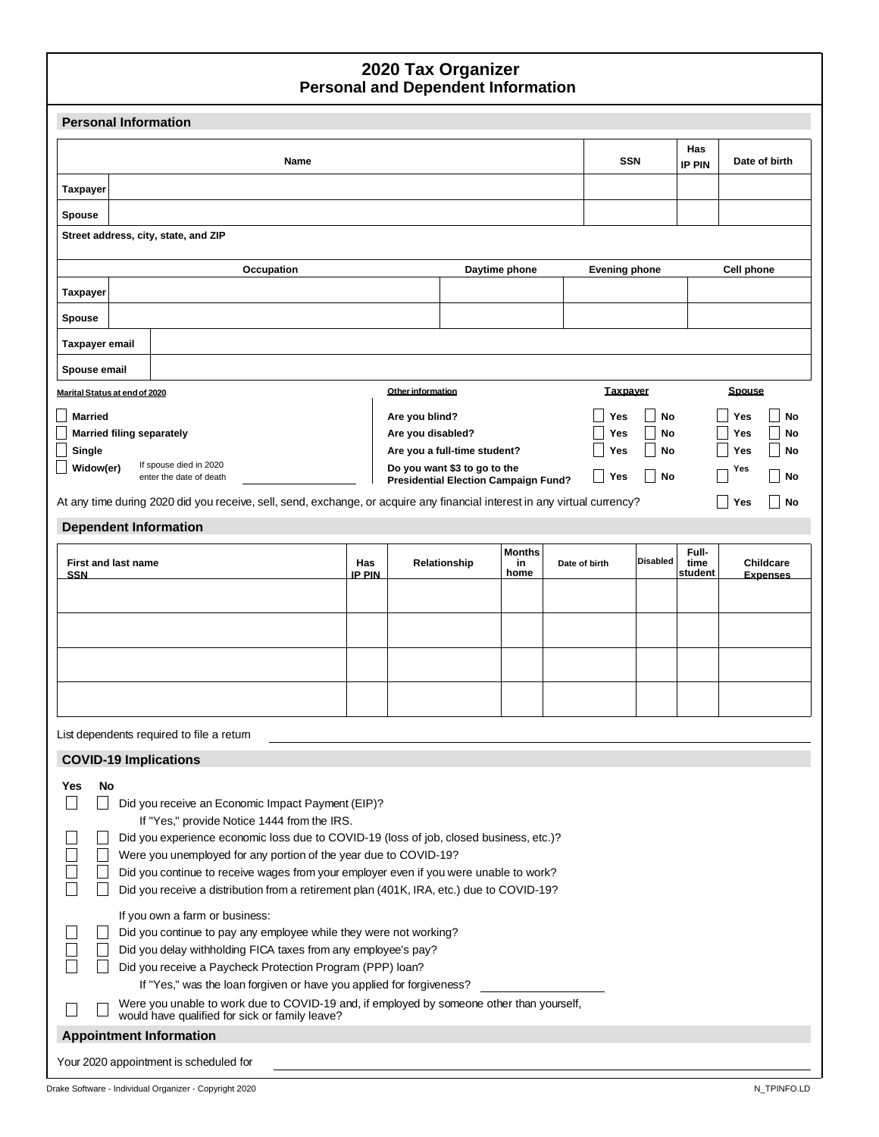#### **Personal and Dependent Information 2020 Tax Organizer**

| <b>Personal Information</b>                                                                                                                                      |               |                                     |                                                                             |                     |               |                      |                 |               |               |                  |
|------------------------------------------------------------------------------------------------------------------------------------------------------------------|---------------|-------------------------------------|-----------------------------------------------------------------------------|---------------------|---------------|----------------------|-----------------|---------------|---------------|------------------|
| Name                                                                                                                                                             |               |                                     |                                                                             |                     |               | <b>SSN</b>           |                 | Has<br>IP PIN |               | Date of birth    |
| <b>Taxpayer</b>                                                                                                                                                  |               |                                     |                                                                             |                     |               |                      |                 |               |               |                  |
| <b>Spouse</b>                                                                                                                                                    |               |                                     |                                                                             |                     |               |                      |                 |               |               |                  |
| Street address, city, state, and ZIP                                                                                                                             |               |                                     |                                                                             |                     |               |                      |                 |               |               |                  |
| Occupation                                                                                                                                                       |               |                                     |                                                                             | Daytime phone       |               | <b>Evening phone</b> |                 |               | Cell phone    |                  |
| <b>Taxpayer</b>                                                                                                                                                  |               |                                     |                                                                             |                     |               |                      |                 |               |               |                  |
| <b>Spouse</b>                                                                                                                                                    |               |                                     |                                                                             |                     |               |                      |                 |               |               |                  |
| Taxpayer email                                                                                                                                                   |               |                                     |                                                                             |                     |               |                      |                 |               |               |                  |
| Spouse email                                                                                                                                                     |               |                                     |                                                                             |                     |               |                      |                 |               |               |                  |
| Marital Status at end of 2020                                                                                                                                    |               | Other information                   |                                                                             |                     |               | <b>Taxpayer</b>      |                 |               | <b>Spouse</b> |                  |
| <b>Married</b><br><b>Married filing separately</b>                                                                                                               |               | Are you blind?<br>Are you disabled? |                                                                             |                     |               | Yes<br>Yes           | No<br>No        |               | Yes<br>Yes    | <b>No</b><br>No  |
| Single                                                                                                                                                           |               |                                     | Are you a full-time student?                                                |                     |               | Yes                  | No              |               | <b>Yes</b>    | <b>No</b>        |
| If spouse died in 2020<br>Widow(er)<br>enter the date of death                                                                                                   |               |                                     | Do you want \$3 to go to the<br><b>Presidential Election Campaign Fund?</b> |                     |               | Yes                  | <b>No</b>       |               | Yes           | <b>No</b>        |
| At any time during 2020 did you receive, sell, send, exchange, or acquire any financial interest in any virtual currency?                                        |               |                                     |                                                                             |                     |               |                      |                 |               | Yes           | <b>No</b>        |
| <b>Dependent Information</b>                                                                                                                                     |               |                                     |                                                                             |                     |               |                      |                 |               |               |                  |
| <b>First and last name</b>                                                                                                                                       | <b>Has</b>    |                                     | Relationship                                                                | <b>Months</b><br>in | Date of birth |                      | <b>Disabled</b> | Full-<br>time |               | <b>Childcare</b> |
| <b>SSN</b>                                                                                                                                                       | <b>IP PIN</b> |                                     |                                                                             | home                |               |                      |                 | student       |               | <b>Expenses</b>  |
|                                                                                                                                                                  |               |                                     |                                                                             |                     |               |                      |                 |               |               |                  |
|                                                                                                                                                                  |               |                                     |                                                                             |                     |               |                      |                 |               |               |                  |
|                                                                                                                                                                  |               |                                     |                                                                             |                     |               |                      |                 |               |               |                  |
|                                                                                                                                                                  |               |                                     |                                                                             |                     |               |                      |                 |               |               |                  |
|                                                                                                                                                                  |               |                                     |                                                                             |                     |               |                      |                 |               |               |                  |
| List dependents required to file a retum                                                                                                                         |               |                                     |                                                                             |                     |               |                      |                 |               |               |                  |
| <b>COVID-19 Implications</b>                                                                                                                                     |               |                                     |                                                                             |                     |               |                      |                 |               |               |                  |
| No<br>Yes<br>$\Box$<br>Did you receive an Economic Impact Payment (EIP)?                                                                                         |               |                                     |                                                                             |                     |               |                      |                 |               |               |                  |
| If "Yes," provide Notice 1444 from the IRS.                                                                                                                      |               |                                     |                                                                             |                     |               |                      |                 |               |               |                  |
| Did you experience economic loss due to COVID-19 (loss of job, closed business, etc.)?                                                                           |               |                                     |                                                                             |                     |               |                      |                 |               |               |                  |
| Were you unemployed for any portion of the year due to COVID-19?<br>Did you continue to receive wages from your employer even if you were unable to work?        |               |                                     |                                                                             |                     |               |                      |                 |               |               |                  |
| Did you receive a distribution from a retirement plan (401K, IRA, etc.) due to COVID-19?                                                                         |               |                                     |                                                                             |                     |               |                      |                 |               |               |                  |
| If you own a farm or business:                                                                                                                                   |               |                                     |                                                                             |                     |               |                      |                 |               |               |                  |
| Did you continue to pay any employee while they were not working?<br>Did you delay withholding FICA taxes from any employee's pay?                               |               |                                     |                                                                             |                     |               |                      |                 |               |               |                  |
| Did you receive a Paycheck Protection Program (PPP) loan?                                                                                                        |               |                                     |                                                                             |                     |               |                      |                 |               |               |                  |
| If "Yes," was the loan forgiven or have you applied for forgiveness?<br>Were you unable to work due to COVID-19 and, if employed by someone other than yourself, |               |                                     |                                                                             |                     |               |                      |                 |               |               |                  |
| would have qualified for sick or family leave?                                                                                                                   |               |                                     |                                                                             |                     |               |                      |                 |               |               |                  |
| <b>Appointment Information</b>                                                                                                                                   |               |                                     |                                                                             |                     |               |                      |                 |               |               |                  |
| Your 2020 appointment is scheduled for                                                                                                                           |               |                                     |                                                                             |                     |               |                      |                 |               |               |                  |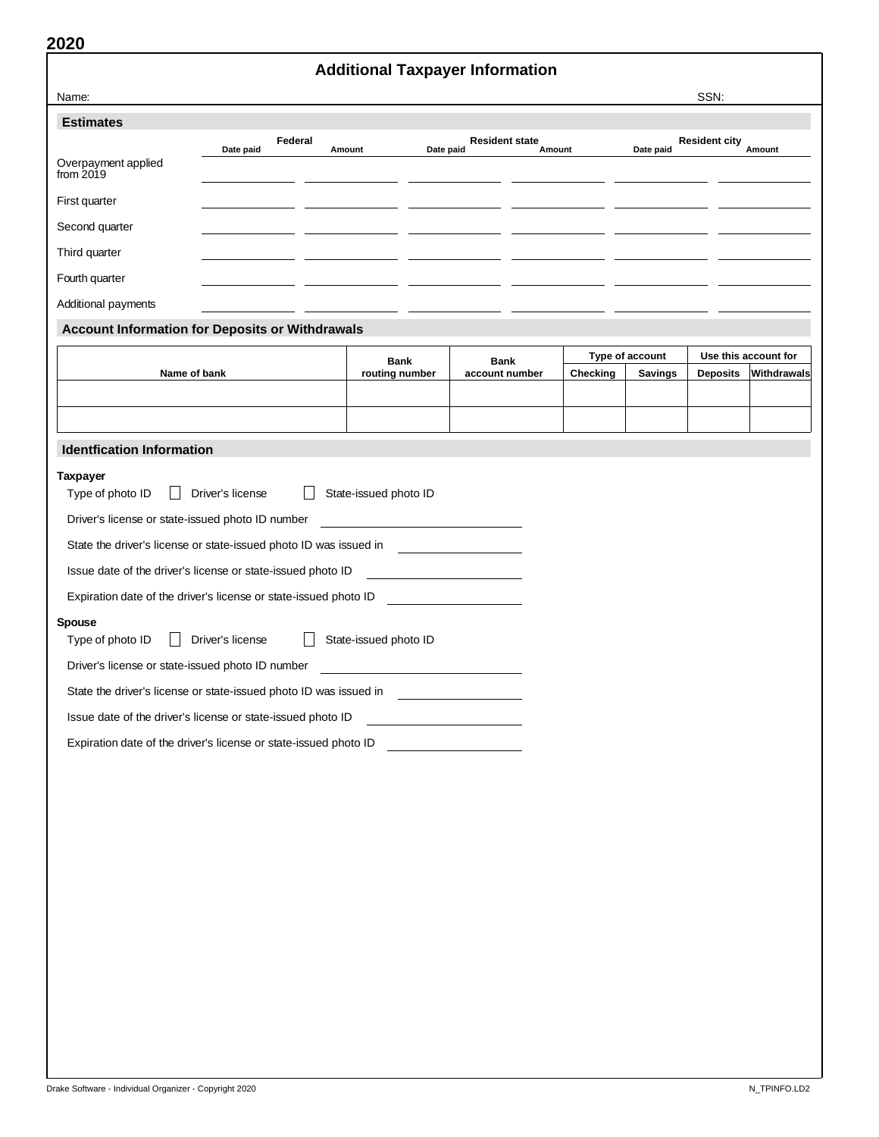|                                                                   |                  |         | <b>Additional Taxpayer Information</b> |                                                                                                                       |          |                 |                      |                      |  |
|-------------------------------------------------------------------|------------------|---------|----------------------------------------|-----------------------------------------------------------------------------------------------------------------------|----------|-----------------|----------------------|----------------------|--|
| Name:                                                             |                  |         |                                        |                                                                                                                       |          |                 | SSN:                 |                      |  |
| <b>Estimates</b>                                                  |                  |         |                                        |                                                                                                                       |          |                 |                      |                      |  |
|                                                                   | Date paid        | Federal | Date paid<br>Amount                    | <b>Resident state</b>                                                                                                 | Amount   | Date paid       | <b>Resident city</b> | Amount               |  |
| Overpayment applied<br>from $2019$                                |                  |         |                                        |                                                                                                                       |          |                 |                      |                      |  |
| First quarter                                                     |                  |         |                                        |                                                                                                                       |          |                 |                      |                      |  |
| Second quarter                                                    |                  |         |                                        |                                                                                                                       |          |                 |                      |                      |  |
| Third quarter                                                     |                  |         |                                        |                                                                                                                       |          |                 |                      |                      |  |
| Fourth quarter                                                    |                  |         |                                        |                                                                                                                       |          |                 |                      |                      |  |
| Additional payments                                               |                  |         |                                        |                                                                                                                       |          |                 |                      |                      |  |
| <b>Account Information for Deposits or Withdrawals</b>            |                  |         |                                        |                                                                                                                       |          |                 |                      |                      |  |
|                                                                   |                  |         | <b>Bank</b>                            | <b>Bank</b>                                                                                                           |          | Type of account |                      | Use this account for |  |
| Name of bank                                                      |                  |         | routing number                         | account number                                                                                                        | Checking | <b>Savings</b>  | <b>Deposits</b>      | Withdrawals          |  |
|                                                                   |                  |         |                                        |                                                                                                                       |          |                 |                      |                      |  |
| <b>Identfication Information</b>                                  |                  |         |                                        |                                                                                                                       |          |                 |                      |                      |  |
| <b>Taxpayer</b>                                                   |                  |         |                                        |                                                                                                                       |          |                 |                      |                      |  |
| Type of photo ID                                                  | Driver's license |         | State-issued photo ID                  |                                                                                                                       |          |                 |                      |                      |  |
| Driver's license or state-issued photo ID number                  |                  |         |                                        |                                                                                                                       |          |                 |                      |                      |  |
| State the driver's license or state-issued photo ID was issued in |                  |         |                                        |                                                                                                                       |          |                 |                      |                      |  |
| Issue date of the driver's license or state-issued photo ID       |                  |         |                                        |                                                                                                                       |          |                 |                      |                      |  |
| Expiration date of the driver's license or state-issued photo ID  |                  |         |                                        |                                                                                                                       |          |                 |                      |                      |  |
| Spouse<br>Type of photo ID                                        | Driver's license |         | State-issued photo ID                  |                                                                                                                       |          |                 |                      |                      |  |
| Driver's license or state-issued photo ID number                  |                  |         |                                        |                                                                                                                       |          |                 |                      |                      |  |
| State the driver's license or state-issued photo ID was issued in |                  |         |                                        |                                                                                                                       |          |                 |                      |                      |  |
|                                                                   |                  |         |                                        |                                                                                                                       |          |                 |                      |                      |  |
| Issue date of the driver's license or state-issued photo ID       |                  |         |                                        |                                                                                                                       |          |                 |                      |                      |  |
| Expiration date of the driver's license or state-issued photo ID  |                  |         |                                        | <u> Liston de la construcción de la construcción de la construcción de la construcción de la construcción de la c</u> |          |                 |                      |                      |  |
|                                                                   |                  |         |                                        |                                                                                                                       |          |                 |                      |                      |  |
|                                                                   |                  |         |                                        |                                                                                                                       |          |                 |                      |                      |  |
|                                                                   |                  |         |                                        |                                                                                                                       |          |                 |                      |                      |  |
|                                                                   |                  |         |                                        |                                                                                                                       |          |                 |                      |                      |  |
|                                                                   |                  |         |                                        |                                                                                                                       |          |                 |                      |                      |  |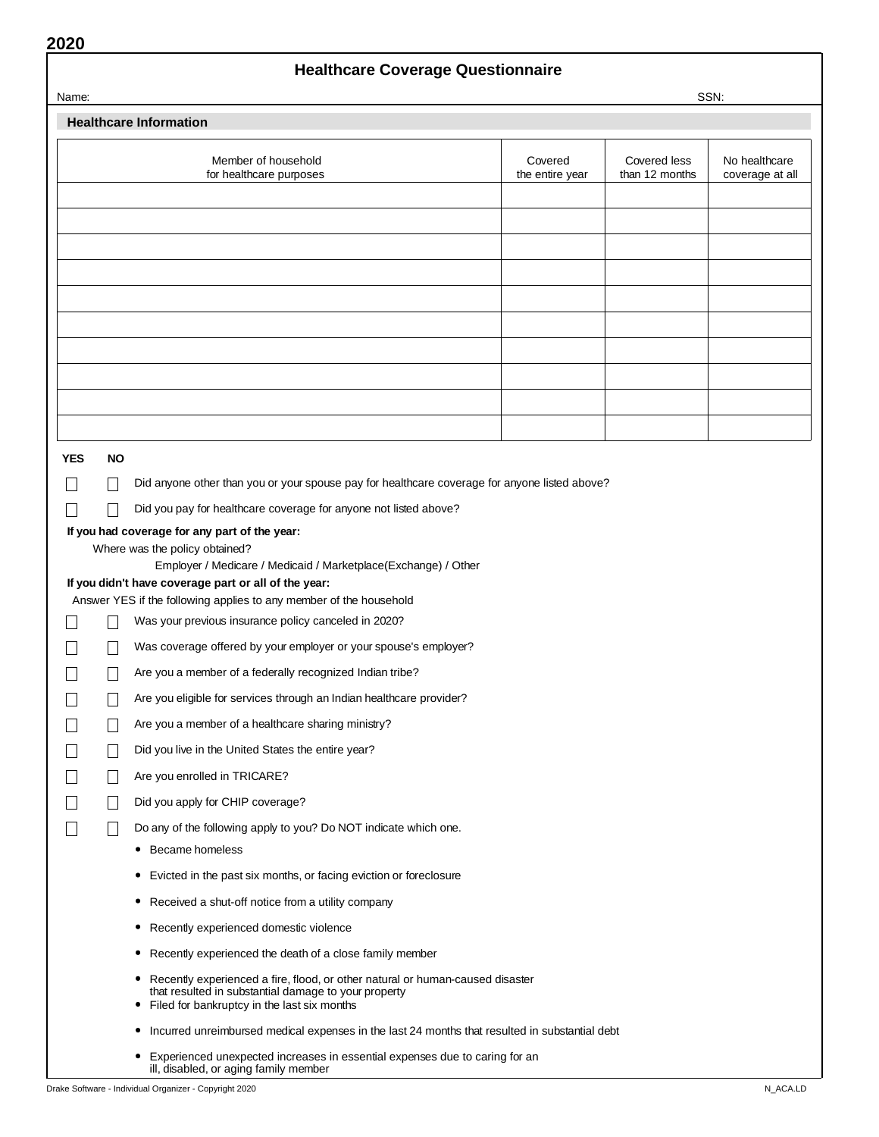# **Healthcare Coverage Questionnaire**

| Name:      |     |                                                                                                                                                                                                |                            |                                | SSN:                             |
|------------|-----|------------------------------------------------------------------------------------------------------------------------------------------------------------------------------------------------|----------------------------|--------------------------------|----------------------------------|
|            |     | <b>Healthcare Information</b>                                                                                                                                                                  |                            |                                |                                  |
|            |     | Member of household<br>for healthcare purposes                                                                                                                                                 | Covered<br>the entire year | Covered less<br>than 12 months | No healthcare<br>coverage at all |
|            |     |                                                                                                                                                                                                |                            |                                |                                  |
|            |     |                                                                                                                                                                                                |                            |                                |                                  |
|            |     |                                                                                                                                                                                                |                            |                                |                                  |
|            |     |                                                                                                                                                                                                |                            |                                |                                  |
|            |     |                                                                                                                                                                                                |                            |                                |                                  |
|            |     |                                                                                                                                                                                                |                            |                                |                                  |
|            |     |                                                                                                                                                                                                |                            |                                |                                  |
|            |     |                                                                                                                                                                                                |                            |                                |                                  |
|            |     |                                                                                                                                                                                                |                            |                                |                                  |
|            |     |                                                                                                                                                                                                |                            |                                |                                  |
| <b>YES</b> | NO. |                                                                                                                                                                                                |                            |                                |                                  |
|            |     | Did anyone other than you or your spouse pay for healthcare coverage for anyone listed above?                                                                                                  |                            |                                |                                  |
|            |     | Did you pay for healthcare coverage for anyone not listed above?                                                                                                                               |                            |                                |                                  |
|            |     | If you had coverage for any part of the year:                                                                                                                                                  |                            |                                |                                  |
|            |     | Where was the policy obtained?<br>Employer / Medicare / Medicaid / Marketplace(Exchange) / Other                                                                                               |                            |                                |                                  |
|            |     | If you didn't have coverage part or all of the year:                                                                                                                                           |                            |                                |                                  |
|            |     | Answer YES if the following applies to any member of the household<br>Was your previous insurance policy canceled in 2020?                                                                     |                            |                                |                                  |
|            |     | Was coverage offered by your employer or your spouse's employer?                                                                                                                               |                            |                                |                                  |
|            |     | Are you a member of a federally recognized Indian tribe?                                                                                                                                       |                            |                                |                                  |
|            |     | Are you eligible for services through an Indian healthcare provider?                                                                                                                           |                            |                                |                                  |
|            |     | Are you a member of a healthcare sharing ministry?                                                                                                                                             |                            |                                |                                  |
|            |     | Did you live in the United States the entire year?                                                                                                                                             |                            |                                |                                  |
|            |     | Are you enrolled in TRICARE?                                                                                                                                                                   |                            |                                |                                  |
|            |     | Did you apply for CHIP coverage?                                                                                                                                                               |                            |                                |                                  |
|            |     | Do any of the following apply to you? Do NOT indicate which one.                                                                                                                               |                            |                                |                                  |
|            |     | • Became homeless                                                                                                                                                                              |                            |                                |                                  |
|            |     | Evicted in the past six months, or facing eviction or foreclosure<br>۰                                                                                                                         |                            |                                |                                  |
|            |     | • Received a shut-off notice from a utility company                                                                                                                                            |                            |                                |                                  |
|            |     | Recently experienced domestic violence<br>۰                                                                                                                                                    |                            |                                |                                  |
|            |     | • Recently experienced the death of a close family member                                                                                                                                      |                            |                                |                                  |
|            |     | Recently experienced a fire, flood, or other natural or human-caused disaster<br>۰<br>that resulted in substantial damage to your property<br>Filed for bankruptcy in the last six months<br>۰ |                            |                                |                                  |
|            |     | • Incurred unreimbursed medical expenses in the last 24 months that resulted in substantial debt                                                                                               |                            |                                |                                  |
|            |     | • Experienced unexpected increases in essential expenses due to caring for an<br>ill, disabled, or aging family member                                                                         |                            |                                |                                  |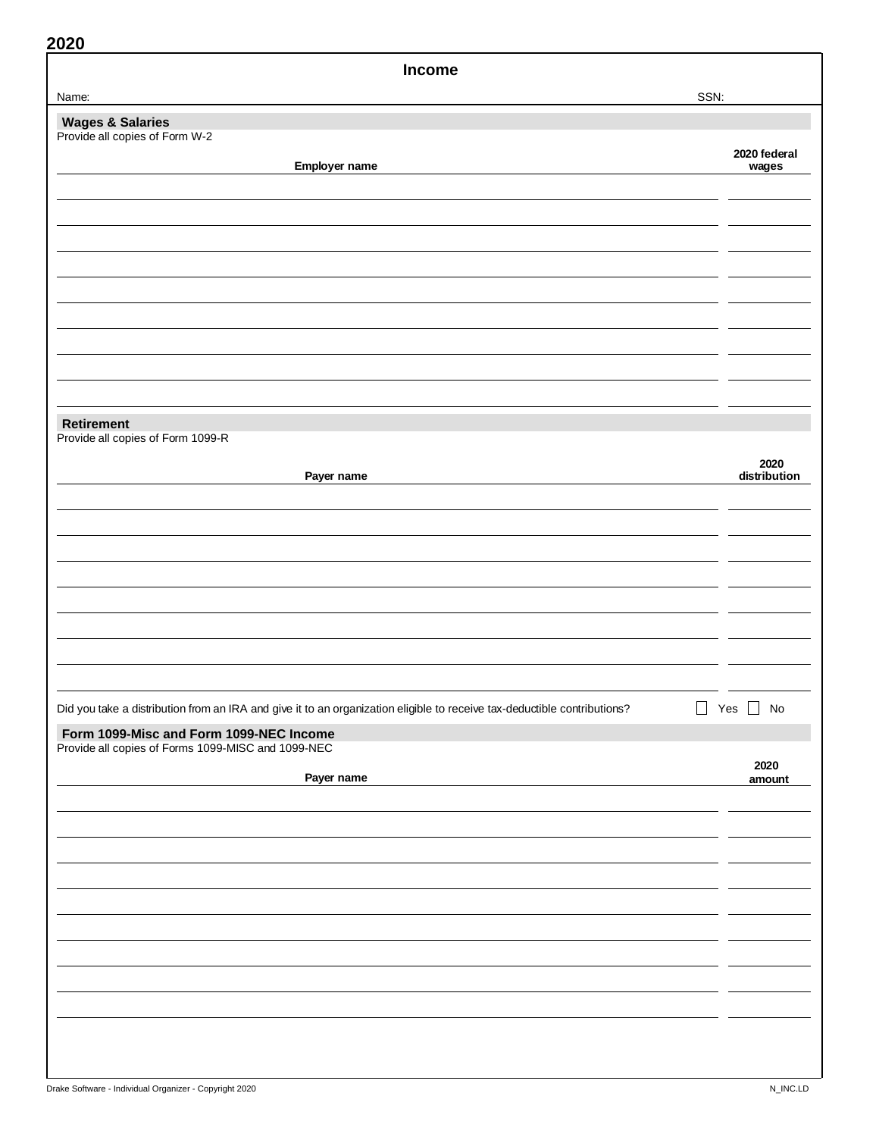| <b>Income</b>                                                                                                            |                  |
|--------------------------------------------------------------------------------------------------------------------------|------------------|
| Name:                                                                                                                    | SSN:             |
| <b>Wages &amp; Salaries</b>                                                                                              |                  |
| Provide all copies of Form W-2                                                                                           | 2020 federal     |
| Employer name                                                                                                            | wages            |
|                                                                                                                          |                  |
|                                                                                                                          |                  |
|                                                                                                                          |                  |
|                                                                                                                          |                  |
|                                                                                                                          |                  |
|                                                                                                                          |                  |
|                                                                                                                          |                  |
|                                                                                                                          |                  |
|                                                                                                                          |                  |
|                                                                                                                          |                  |
|                                                                                                                          |                  |
| <b>Retirement</b><br>Provide all copies of Form 1099-R                                                                   |                  |
|                                                                                                                          | 2020             |
| Payer name                                                                                                               | distribution     |
|                                                                                                                          |                  |
|                                                                                                                          |                  |
|                                                                                                                          |                  |
|                                                                                                                          |                  |
|                                                                                                                          |                  |
|                                                                                                                          |                  |
|                                                                                                                          |                  |
|                                                                                                                          |                  |
|                                                                                                                          |                  |
| Did you take a distribution from an IRA and give it to an organization eligible to receive tax-deductible contributions? | $\Box$<br>Yes No |
| Form 1099-Misc and Form 1099-NEC Income                                                                                  |                  |
| Provide all copies of Forms 1099-MISC and 1099-NEC                                                                       |                  |
| Payer name                                                                                                               | 2020<br>amount   |
|                                                                                                                          |                  |
|                                                                                                                          |                  |
|                                                                                                                          |                  |
|                                                                                                                          |                  |
|                                                                                                                          |                  |
|                                                                                                                          |                  |
|                                                                                                                          |                  |
|                                                                                                                          |                  |
|                                                                                                                          |                  |
|                                                                                                                          |                  |
|                                                                                                                          |                  |
|                                                                                                                          |                  |
|                                                                                                                          |                  |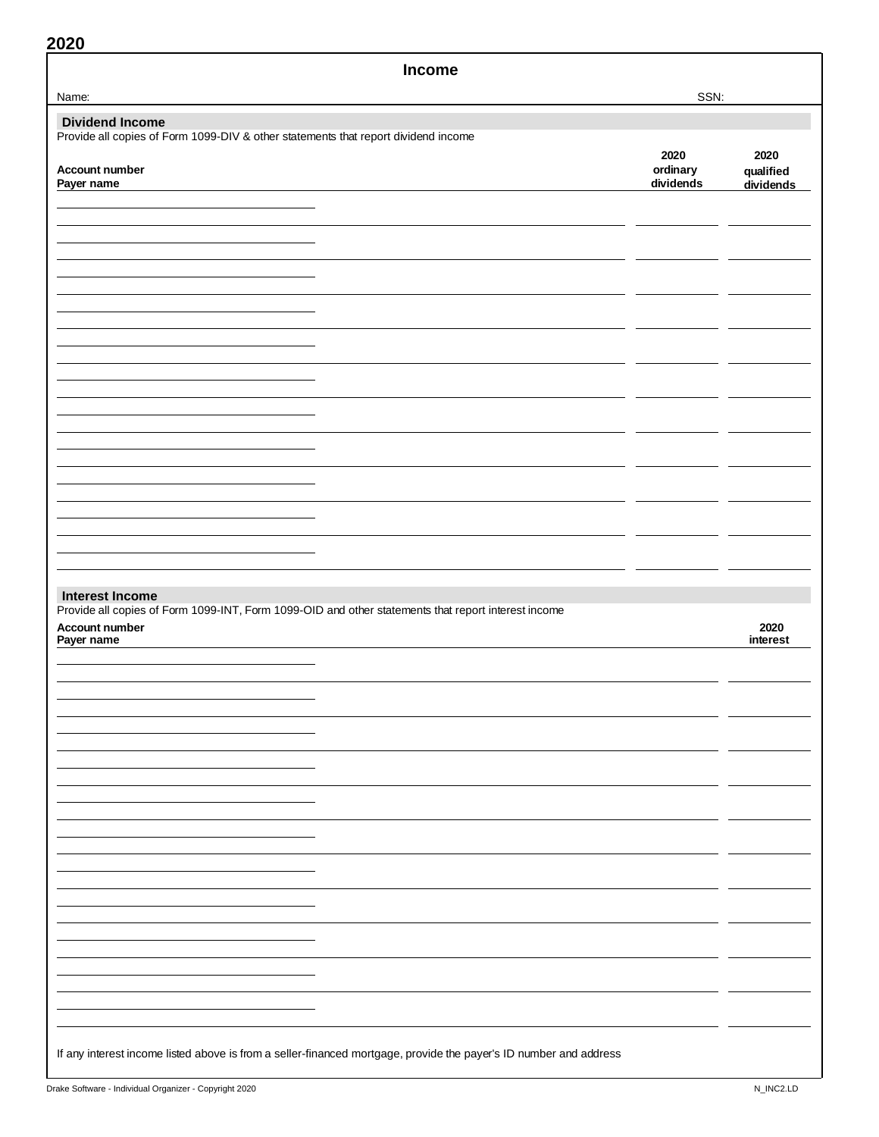| <b>Income</b>                                                                                                                       |                       |                        |
|-------------------------------------------------------------------------------------------------------------------------------------|-----------------------|------------------------|
| Name:                                                                                                                               | SSN:                  |                        |
| <b>Dividend Income</b>                                                                                                              |                       |                        |
| Provide all copies of Form 1099-DIV & other statements that report dividend income                                                  | 2020                  | 2020                   |
| Account number<br>Payer name                                                                                                        | ordinary<br>dividends | qualified<br>dividends |
|                                                                                                                                     |                       |                        |
|                                                                                                                                     |                       |                        |
|                                                                                                                                     |                       |                        |
|                                                                                                                                     |                       |                        |
|                                                                                                                                     |                       |                        |
|                                                                                                                                     |                       |                        |
|                                                                                                                                     |                       |                        |
|                                                                                                                                     |                       |                        |
|                                                                                                                                     |                       |                        |
|                                                                                                                                     |                       |                        |
| <b>Interest Income</b>                                                                                                              |                       |                        |
| Provide all copies of Form 1099-INT, Form 1099-OID and other statements that report interest income<br>Account number<br>Payer name |                       | 2020<br>interest       |
|                                                                                                                                     |                       |                        |
|                                                                                                                                     |                       |                        |
|                                                                                                                                     |                       |                        |
|                                                                                                                                     |                       |                        |
|                                                                                                                                     |                       |                        |
|                                                                                                                                     |                       |                        |
|                                                                                                                                     |                       |                        |
|                                                                                                                                     |                       |                        |
|                                                                                                                                     |                       |                        |
|                                                                                                                                     |                       |                        |
| If any interest income listed above is from a seller-financed mortgage, provide the payer's ID number and address                   |                       |                        |
|                                                                                                                                     |                       |                        |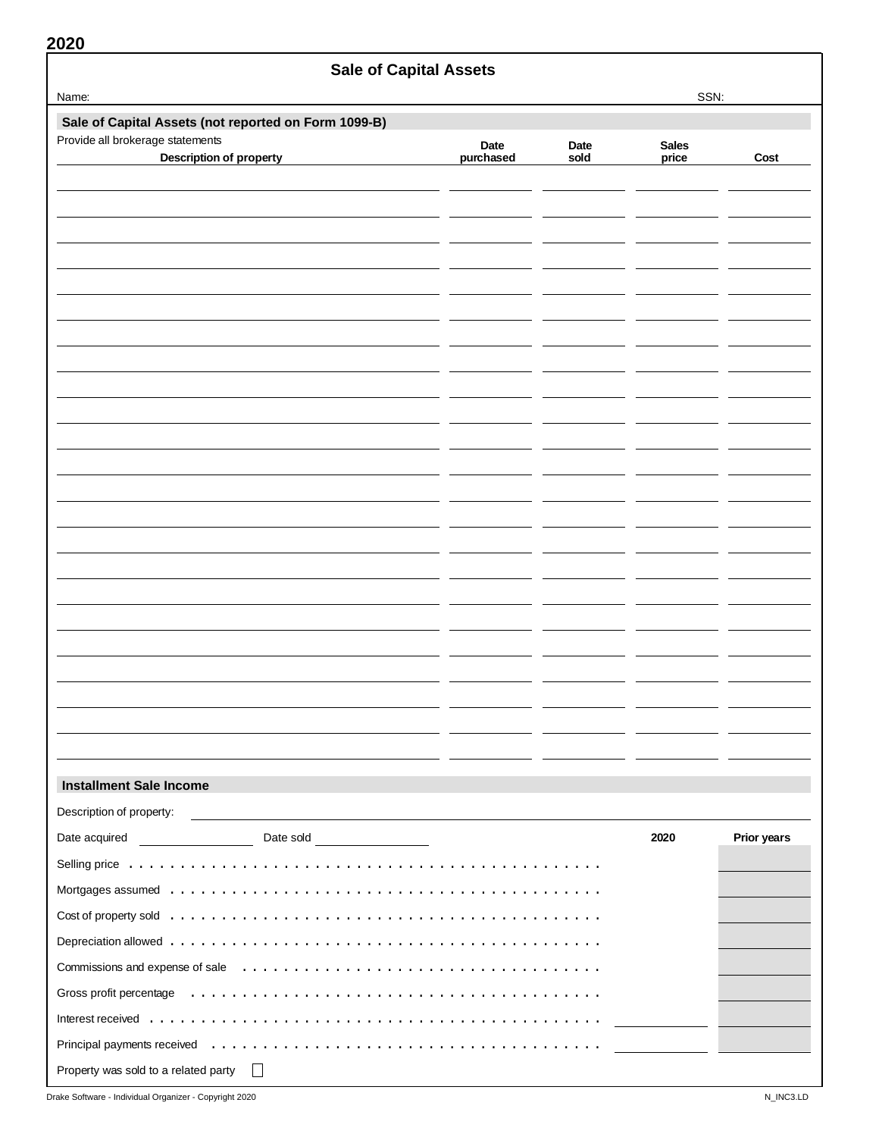|                                                                                                                                                                                                                                | <b>Sale of Capital Assets</b>                                                                                         |                   |              |                       |             |
|--------------------------------------------------------------------------------------------------------------------------------------------------------------------------------------------------------------------------------|-----------------------------------------------------------------------------------------------------------------------|-------------------|--------------|-----------------------|-------------|
| Name:                                                                                                                                                                                                                          |                                                                                                                       |                   |              | SSN:                  |             |
| Sale of Capital Assets (not reported on Form 1099-B)                                                                                                                                                                           |                                                                                                                       |                   |              |                       |             |
| Provide all brokerage statements<br><b>Description of property</b>                                                                                                                                                             |                                                                                                                       | Date<br>purchased | Date<br>sold | <b>Sales</b><br>price | Cost        |
|                                                                                                                                                                                                                                |                                                                                                                       |                   |              |                       |             |
|                                                                                                                                                                                                                                |                                                                                                                       |                   |              |                       |             |
|                                                                                                                                                                                                                                |                                                                                                                       |                   |              |                       |             |
|                                                                                                                                                                                                                                |                                                                                                                       |                   |              |                       |             |
|                                                                                                                                                                                                                                |                                                                                                                       |                   |              |                       |             |
|                                                                                                                                                                                                                                |                                                                                                                       |                   |              |                       |             |
|                                                                                                                                                                                                                                |                                                                                                                       |                   |              |                       |             |
|                                                                                                                                                                                                                                |                                                                                                                       |                   |              |                       |             |
|                                                                                                                                                                                                                                |                                                                                                                       |                   |              |                       |             |
|                                                                                                                                                                                                                                |                                                                                                                       |                   |              |                       |             |
|                                                                                                                                                                                                                                |                                                                                                                       |                   |              |                       |             |
|                                                                                                                                                                                                                                |                                                                                                                       |                   |              |                       |             |
|                                                                                                                                                                                                                                |                                                                                                                       |                   |              |                       |             |
|                                                                                                                                                                                                                                |                                                                                                                       |                   |              |                       |             |
|                                                                                                                                                                                                                                |                                                                                                                       |                   |              |                       |             |
|                                                                                                                                                                                                                                |                                                                                                                       |                   |              |                       |             |
|                                                                                                                                                                                                                                |                                                                                                                       |                   |              |                       |             |
|                                                                                                                                                                                                                                |                                                                                                                       |                   |              |                       |             |
|                                                                                                                                                                                                                                |                                                                                                                       |                   |              |                       |             |
|                                                                                                                                                                                                                                |                                                                                                                       |                   |              |                       |             |
|                                                                                                                                                                                                                                |                                                                                                                       |                   |              |                       |             |
|                                                                                                                                                                                                                                |                                                                                                                       |                   |              |                       |             |
|                                                                                                                                                                                                                                |                                                                                                                       |                   |              |                       |             |
| <b>Installment Sale Income</b>                                                                                                                                                                                                 |                                                                                                                       |                   |              |                       |             |
| Description of property:                                                                                                                                                                                                       | <u>and the state of the state of the state of the state of the state of the state of the state of the state of th</u> |                   |              |                       |             |
|                                                                                                                                                                                                                                | Date sold <u>entitled</u>                                                                                             |                   |              | 2020                  | Prior years |
|                                                                                                                                                                                                                                |                                                                                                                       |                   |              |                       |             |
|                                                                                                                                                                                                                                |                                                                                                                       |                   |              |                       |             |
|                                                                                                                                                                                                                                |                                                                                                                       |                   |              |                       |             |
|                                                                                                                                                                                                                                |                                                                                                                       |                   |              |                       |             |
|                                                                                                                                                                                                                                |                                                                                                                       |                   |              |                       |             |
| Gross profit percentage education of the context of the context of the context of the context of the context of the context of the context of the context of the context of the context of the context of the context of the c |                                                                                                                       |                   |              |                       |             |
|                                                                                                                                                                                                                                |                                                                                                                       |                   |              |                       |             |
|                                                                                                                                                                                                                                |                                                                                                                       |                   |              |                       |             |
| Property was sold to a related party                                                                                                                                                                                           |                                                                                                                       |                   |              |                       |             |

Drake Software - Individual Organizer - Copyright 2020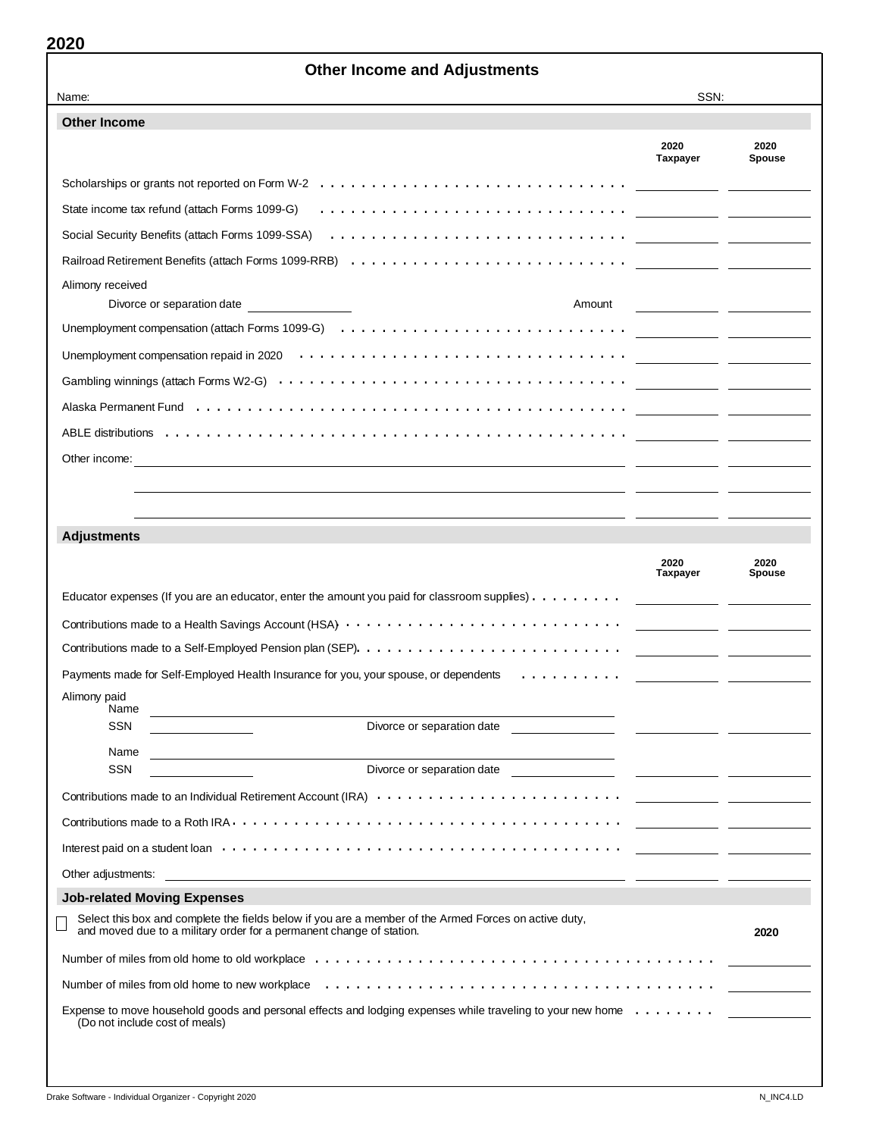| Name:                                                                                                                                                                                                                                                                                                                                                                                                                                                                                                                                                                                   | SSN:             |                                          |
|-----------------------------------------------------------------------------------------------------------------------------------------------------------------------------------------------------------------------------------------------------------------------------------------------------------------------------------------------------------------------------------------------------------------------------------------------------------------------------------------------------------------------------------------------------------------------------------------|------------------|------------------------------------------|
| <b>Other Income</b>                                                                                                                                                                                                                                                                                                                                                                                                                                                                                                                                                                     |                  |                                          |
|                                                                                                                                                                                                                                                                                                                                                                                                                                                                                                                                                                                         | 2020<br>Taxpayer | 2020<br><b>Spouse</b>                    |
| Scholarships or grants not reported on Form W-2 $\dots \dots \dots \dots \dots \dots \dots \dots \dots \dots \dots \dots \dots$                                                                                                                                                                                                                                                                                                                                                                                                                                                         |                  |                                          |
| State income tax refund (attach Forms 1099-G)                                                                                                                                                                                                                                                                                                                                                                                                                                                                                                                                           |                  |                                          |
| Social Security Benefits (attach Forms 1099-SSA) at a contact contact of the security Benefits (attach Forms 1099-SSA)                                                                                                                                                                                                                                                                                                                                                                                                                                                                  |                  |                                          |
|                                                                                                                                                                                                                                                                                                                                                                                                                                                                                                                                                                                         |                  |                                          |
| Alimony received                                                                                                                                                                                                                                                                                                                                                                                                                                                                                                                                                                        |                  |                                          |
| Divorce or separation date<br>Amount                                                                                                                                                                                                                                                                                                                                                                                                                                                                                                                                                    |                  |                                          |
| Unemployment compensation (attach Forms 1099-G) $\dots\dots\dots\dots\dots\dots\dots\dots\dots\dots\dots\dots\dots\dots$                                                                                                                                                                                                                                                                                                                                                                                                                                                                |                  |                                          |
|                                                                                                                                                                                                                                                                                                                                                                                                                                                                                                                                                                                         |                  |                                          |
|                                                                                                                                                                                                                                                                                                                                                                                                                                                                                                                                                                                         |                  |                                          |
|                                                                                                                                                                                                                                                                                                                                                                                                                                                                                                                                                                                         |                  |                                          |
|                                                                                                                                                                                                                                                                                                                                                                                                                                                                                                                                                                                         |                  |                                          |
| Other income:                                                                                                                                                                                                                                                                                                                                                                                                                                                                                                                                                                           |                  |                                          |
|                                                                                                                                                                                                                                                                                                                                                                                                                                                                                                                                                                                         |                  |                                          |
|                                                                                                                                                                                                                                                                                                                                                                                                                                                                                                                                                                                         |                  |                                          |
|                                                                                                                                                                                                                                                                                                                                                                                                                                                                                                                                                                                         |                  |                                          |
|                                                                                                                                                                                                                                                                                                                                                                                                                                                                                                                                                                                         |                  |                                          |
|                                                                                                                                                                                                                                                                                                                                                                                                                                                                                                                                                                                         | 2020             | 2020                                     |
|                                                                                                                                                                                                                                                                                                                                                                                                                                                                                                                                                                                         | Taxpayer         | <b>Spouse</b>                            |
|                                                                                                                                                                                                                                                                                                                                                                                                                                                                                                                                                                                         |                  |                                          |
|                                                                                                                                                                                                                                                                                                                                                                                                                                                                                                                                                                                         |                  |                                          |
|                                                                                                                                                                                                                                                                                                                                                                                                                                                                                                                                                                                         |                  | <u> 1989 - John Stone, mars et al. (</u> |
|                                                                                                                                                                                                                                                                                                                                                                                                                                                                                                                                                                                         | - -              |                                          |
| Name                                                                                                                                                                                                                                                                                                                                                                                                                                                                                                                                                                                    |                  |                                          |
| SSN<br>Divorce or separation date                                                                                                                                                                                                                                                                                                                                                                                                                                                                                                                                                       |                  |                                          |
| Name                                                                                                                                                                                                                                                                                                                                                                                                                                                                                                                                                                                    |                  |                                          |
| <b>SSN</b><br>Divorce or separation date                                                                                                                                                                                                                                                                                                                                                                                                                                                                                                                                                |                  |                                          |
|                                                                                                                                                                                                                                                                                                                                                                                                                                                                                                                                                                                         |                  |                                          |
|                                                                                                                                                                                                                                                                                                                                                                                                                                                                                                                                                                                         |                  |                                          |
|                                                                                                                                                                                                                                                                                                                                                                                                                                                                                                                                                                                         |                  |                                          |
|                                                                                                                                                                                                                                                                                                                                                                                                                                                                                                                                                                                         |                  |                                          |
|                                                                                                                                                                                                                                                                                                                                                                                                                                                                                                                                                                                         |                  |                                          |
| Select this box and complete the fields below if you are a member of the Armed Forces on active duty,<br>and moved due to a military order for a permanent change of station.                                                                                                                                                                                                                                                                                                                                                                                                           |                  | 2020                                     |
|                                                                                                                                                                                                                                                                                                                                                                                                                                                                                                                                                                                         |                  |                                          |
| <b>Adjustments</b><br>Educator expenses (If you are an educator, enter the amount you paid for classroom supplies). $\dots \dots \dots$<br>Contributions made to a Self-Employed Pension plan (SEP). $\dots \dots \dots \dots \dots \dots \dots \dots \dots \dots$<br>Payments made for Self-Employed Health Insurance for you, your spouse, or dependents<br>Alimony paid<br>Interest paid on a student loan et al. with the state of the state of a state of a state of a student loan et al.<br><b>Job-related Moving Expenses</b><br>Number of miles from old home to new workplace |                  |                                          |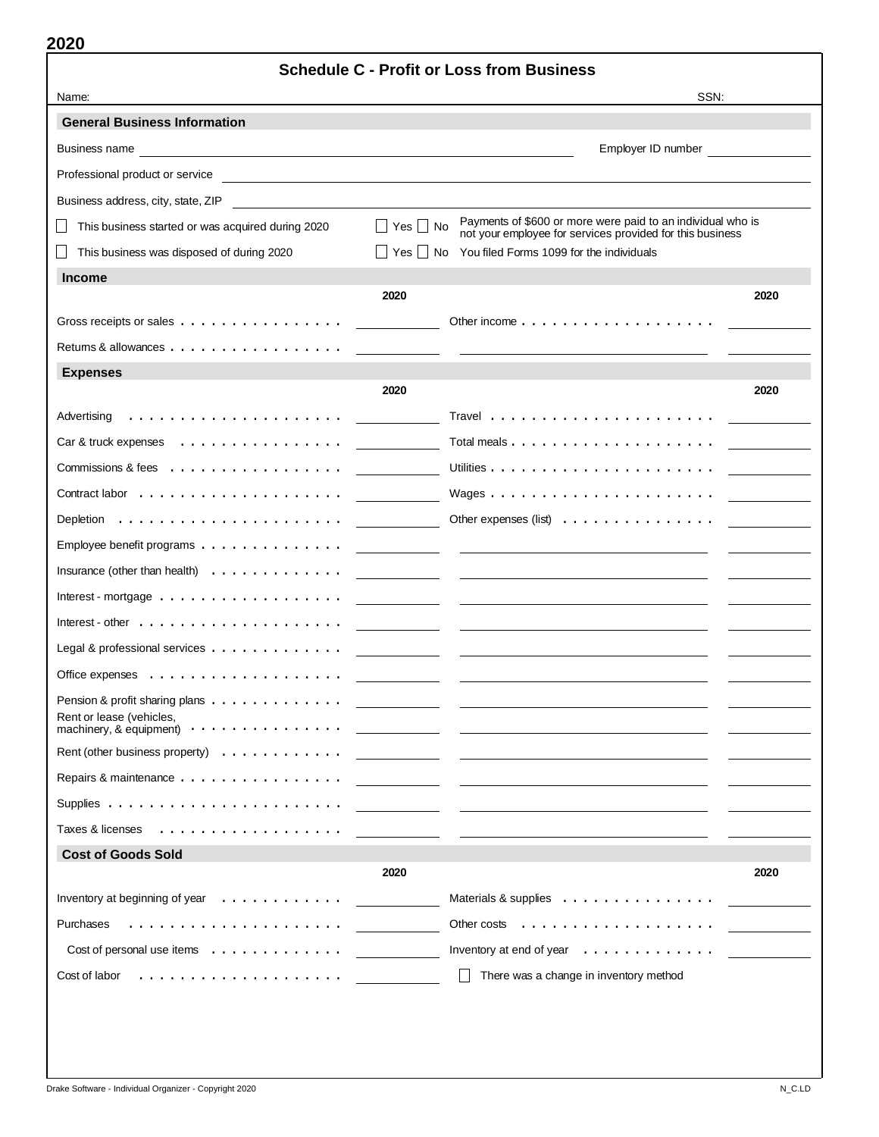|                                                                                                                                                                                                                                | <b>Schedule C - Profit or Loss from Business</b>                                                                                                                                                                                     |      |
|--------------------------------------------------------------------------------------------------------------------------------------------------------------------------------------------------------------------------------|--------------------------------------------------------------------------------------------------------------------------------------------------------------------------------------------------------------------------------------|------|
| Name:                                                                                                                                                                                                                          | SSN:                                                                                                                                                                                                                                 |      |
| <b>General Business Information</b>                                                                                                                                                                                            |                                                                                                                                                                                                                                      |      |
| Business name experience and the service of the service of the service of the service of the service of the service of the service of the service of the service of the service of the service of the service of the service o | Employer ID number <b>Employer</b>                                                                                                                                                                                                   |      |
|                                                                                                                                                                                                                                |                                                                                                                                                                                                                                      |      |
| Business address, city, state, ZIP                                                                                                                                                                                             |                                                                                                                                                                                                                                      |      |
| This business started or was acquired during 2020                                                                                                                                                                              | Payments of \$600 or more were paid to an individual who is<br>□ Yes □ No<br>not your employee for services provided for this business                                                                                               |      |
| This business was disposed of during 2020                                                                                                                                                                                      | Yes  No<br>You filed Forms 1099 for the individuals                                                                                                                                                                                  |      |
| <b>Income</b>                                                                                                                                                                                                                  |                                                                                                                                                                                                                                      |      |
|                                                                                                                                                                                                                                | 2020                                                                                                                                                                                                                                 | 2020 |
| Gross receipts or sales                                                                                                                                                                                                        |                                                                                                                                                                                                                                      |      |
| Returns & allowances                                                                                                                                                                                                           |                                                                                                                                                                                                                                      |      |
| <b>Expenses</b>                                                                                                                                                                                                                |                                                                                                                                                                                                                                      |      |
|                                                                                                                                                                                                                                | 2020                                                                                                                                                                                                                                 | 2020 |
| Advertising                                                                                                                                                                                                                    |                                                                                                                                                                                                                                      |      |
| Car & truck expenses<br>.                                                                                                                                                                                                      | Total meals                                                                                                                                                                                                                          |      |
| Commissions & fees $\dots \dots \dots \dots \dots \dots$                                                                                                                                                                       |                                                                                                                                                                                                                                      |      |
|                                                                                                                                                                                                                                |                                                                                                                                                                                                                                      |      |
| Depletion $\ldots \ldots \ldots \ldots \ldots \ldots$                                                                                                                                                                          | Other expenses (list) $\ldots$ ,                                                                                                                                                                                                     |      |
| Employee benefit programs                                                                                                                                                                                                      |                                                                                                                                                                                                                                      |      |
| Insurance (other than health) $\ldots \ldots \ldots \ldots$                                                                                                                                                                    | the control of the control of<br><u> Listen de la contrada de la contrada de la contrada de la contrada de la contrada de la contrada de la contra</u>                                                                               |      |
| Interest - mortgage $\ldots \ldots \ldots \ldots \ldots$                                                                                                                                                                       |                                                                                                                                                                                                                                      |      |
| Interest - other $\dots$ , $\dots$ , $\dots$ , $\dots$ , $\dots$ , $\dots$ , $\dots$ , $\dots$                                                                                                                                 | <u>and the state of the state of the state of the state of the state of the state of the state of the state of the state of the state of the state of the state of the state of the state of the state of the state of the state</u> |      |
| Legal & professional services $\dots \dots \dots \dots$                                                                                                                                                                        |                                                                                                                                                                                                                                      |      |
| Office expenses $\dots \dots \dots \dots \dots \dots$                                                                                                                                                                          |                                                                                                                                                                                                                                      |      |
| Pension & profit sharing plans                                                                                                                                                                                                 | the control of the control of<br><u> 1989 - Johann Harry Harry Harry Harry Harry Harry Harry Harry Harry Harry Harry Harry Harry Harry Harry Harry</u>                                                                               |      |
| Rent or lease (vehicles,<br>machinery, & equipment) $\cdots \cdots \cdots \cdots \cdots$                                                                                                                                       |                                                                                                                                                                                                                                      |      |
| Rent (other business property) $\ldots \ldots \ldots \ldots$                                                                                                                                                                   |                                                                                                                                                                                                                                      |      |
| Repairs & maintenance                                                                                                                                                                                                          |                                                                                                                                                                                                                                      |      |
|                                                                                                                                                                                                                                |                                                                                                                                                                                                                                      |      |
| Taxes & licenses                                                                                                                                                                                                               |                                                                                                                                                                                                                                      |      |
| <b>Cost of Goods Sold</b>                                                                                                                                                                                                      |                                                                                                                                                                                                                                      |      |
|                                                                                                                                                                                                                                | 2020                                                                                                                                                                                                                                 | 2020 |
| Inventory at beginning of year $\ldots \ldots \ldots \ldots$                                                                                                                                                                   | Materials & supplies                                                                                                                                                                                                                 |      |
| Purchases                                                                                                                                                                                                                      |                                                                                                                                                                                                                                      |      |
| Cost of personal use items $\ldots$ , $\ldots$ , $\ldots$ , $\ldots$                                                                                                                                                           | Inventory at end of year $\dots \dots \dots \dots$                                                                                                                                                                                   |      |
| Cost of labor                                                                                                                                                                                                                  | There was a change in inventory method                                                                                                                                                                                               |      |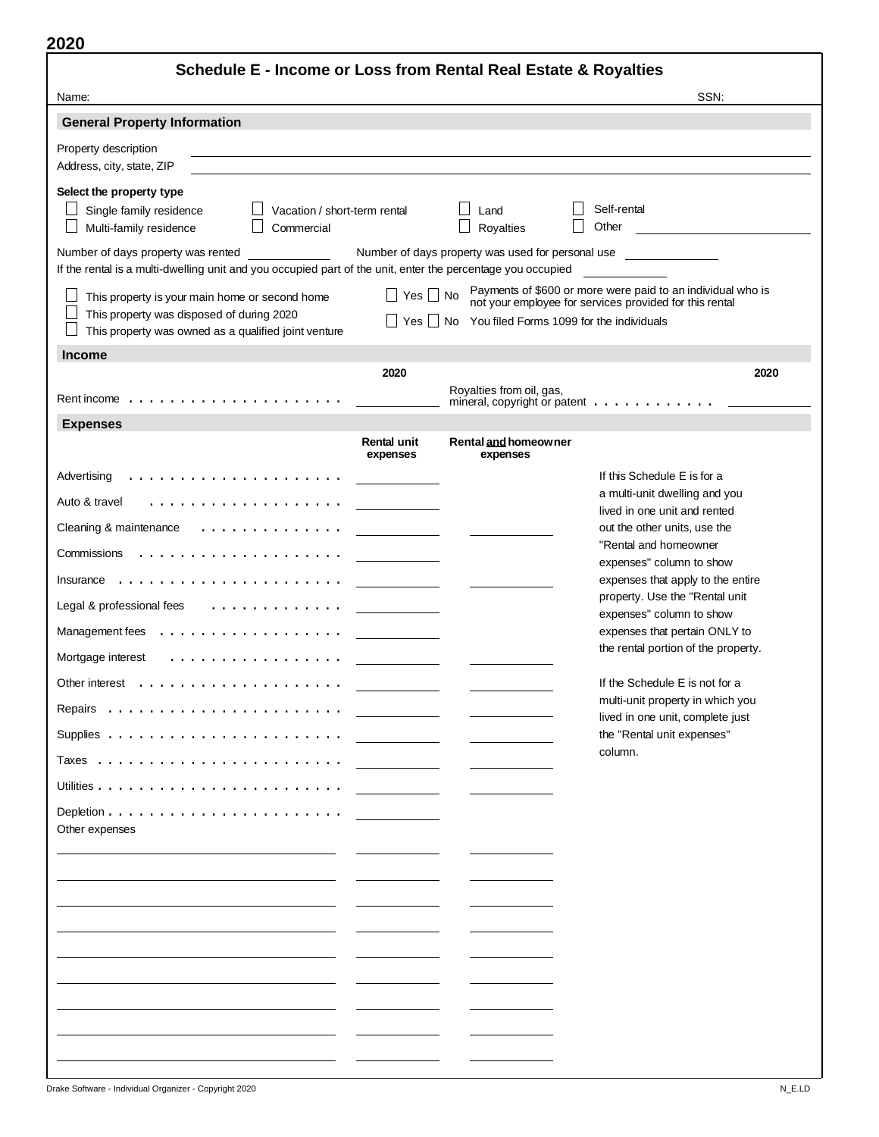| Schedule E - Income or Loss from Rental Real Estate & Royalties                                                                                   |                                |                                                   |                                                                                                                        |
|---------------------------------------------------------------------------------------------------------------------------------------------------|--------------------------------|---------------------------------------------------|------------------------------------------------------------------------------------------------------------------------|
| Name:                                                                                                                                             |                                |                                                   | SSN.                                                                                                                   |
| <b>General Property Information</b>                                                                                                               |                                |                                                   |                                                                                                                        |
| Property description<br>Address, city, state, ZIP                                                                                                 |                                |                                                   |                                                                                                                        |
| Select the property type<br>Single family residence<br>Vacation / short-term rental<br>Multi-family residence<br>Commercial                       |                                | Land<br>Royalties                                 | Self-rental<br>Other                                                                                                   |
| Number of days property was rented<br>If the rental is a multi-dwelling unit and you occupied part of the unit, enter the percentage you occupied |                                | Number of days property was used for personal use |                                                                                                                        |
| This property is your main home or second home                                                                                                    | $Yes \mid \mid No$             |                                                   | Payments of \$600 or more were paid to an individual who is<br>not your employee for services provided for this rental |
| This property was disposed of during 2020<br>This property was owned as a qualified joint venture                                                 | Yes                            | No You filed Forms 1099 for the individuals       |                                                                                                                        |
| <b>Income</b>                                                                                                                                     |                                |                                                   |                                                                                                                        |
|                                                                                                                                                   | 2020                           |                                                   | 2020                                                                                                                   |
|                                                                                                                                                   |                                | Royalties from oil, gas,                          | mineral, copyright or patent $\ldots$ ,                                                                                |
| <b>Expenses</b>                                                                                                                                   |                                |                                                   |                                                                                                                        |
|                                                                                                                                                   | <b>Rental unit</b><br>expenses | Rental and homeowner<br>expenses                  |                                                                                                                        |
| Advertising<br>.                                                                                                                                  |                                |                                                   | If this Schedule E is for a                                                                                            |
| Auto & travel                                                                                                                                     |                                |                                                   | a multi-unit dwelling and you<br>lived in one unit and rented                                                          |
| Cleaning & maintenance                                                                                                                            |                                |                                                   | out the other units, use the                                                                                           |
| Commissions                                                                                                                                       |                                |                                                   | "Rental and homeowner<br>expenses" column to show                                                                      |
| $Insurance \dots \dots \dots$                                                                                                                     |                                |                                                   | expenses that apply to the entire                                                                                      |
| Legal & professional fees<br>.                                                                                                                    |                                |                                                   | property. Use the "Rental unit                                                                                         |
| Management fees<br>.                                                                                                                              |                                |                                                   | expenses" column to show<br>expenses that pertain ONLY to                                                              |
| Mortgage interest<br>.                                                                                                                            |                                |                                                   | the rental portion of the property.                                                                                    |
| Other interest                                                                                                                                    |                                |                                                   | If the Schedule E is not for a                                                                                         |
|                                                                                                                                                   |                                |                                                   | multi-unit property in which you                                                                                       |
|                                                                                                                                                   |                                |                                                   | lived in one unit, complete just<br>the "Rental unit expenses"                                                         |
|                                                                                                                                                   |                                |                                                   | column.                                                                                                                |
|                                                                                                                                                   |                                |                                                   |                                                                                                                        |
|                                                                                                                                                   |                                |                                                   |                                                                                                                        |
| Other expenses                                                                                                                                    |                                |                                                   |                                                                                                                        |
|                                                                                                                                                   |                                |                                                   |                                                                                                                        |
|                                                                                                                                                   |                                |                                                   |                                                                                                                        |
|                                                                                                                                                   |                                |                                                   |                                                                                                                        |
|                                                                                                                                                   |                                |                                                   |                                                                                                                        |
|                                                                                                                                                   |                                |                                                   |                                                                                                                        |
|                                                                                                                                                   |                                |                                                   |                                                                                                                        |
|                                                                                                                                                   |                                |                                                   |                                                                                                                        |
|                                                                                                                                                   |                                |                                                   |                                                                                                                        |
|                                                                                                                                                   |                                |                                                   |                                                                                                                        |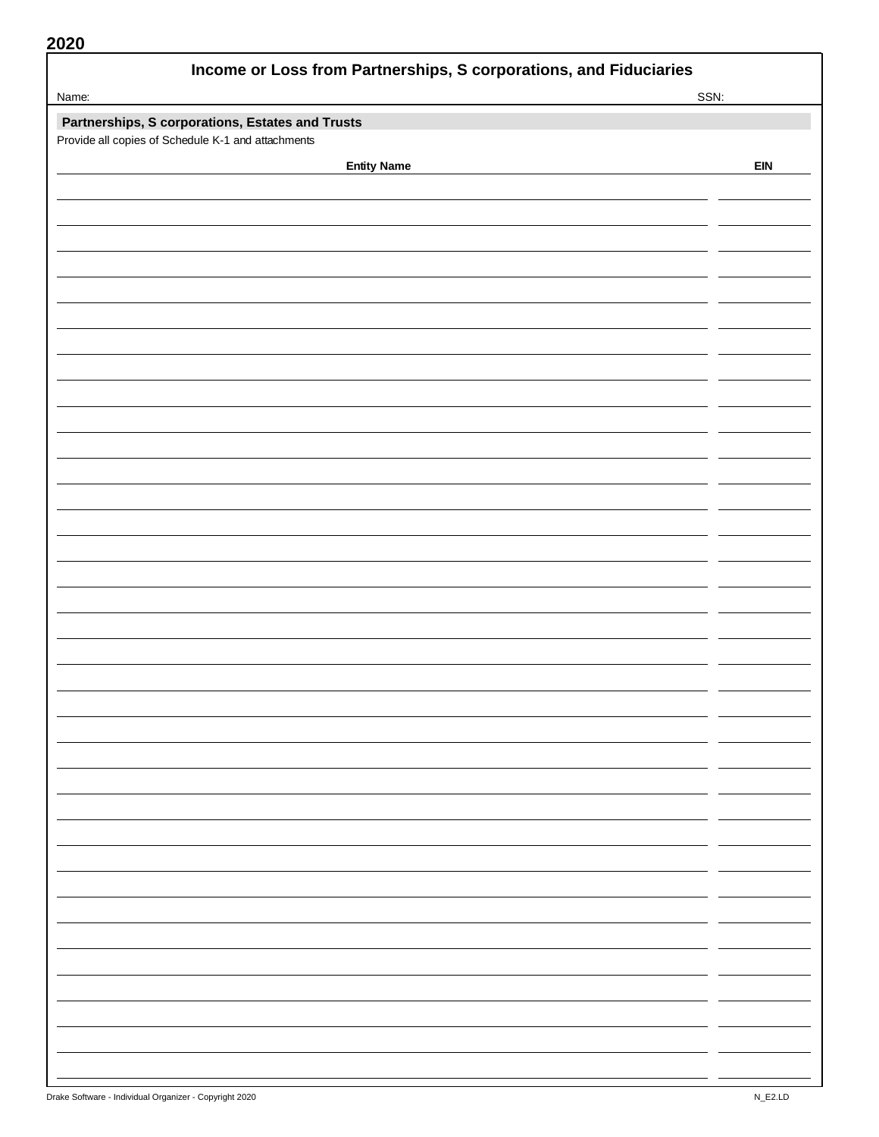| 2020                                                              |            |
|-------------------------------------------------------------------|------------|
| Income or Loss from Partnerships, S corporations, and Fiduciaries |            |
| Name:                                                             | SSN:       |
| Partnerships, S corporations, Estates and Trusts                  |            |
| Provide all copies of Schedule K-1 and attachments                |            |
| <b>Entity Name</b>                                                | <b>EIN</b> |
|                                                                   |            |
|                                                                   |            |
|                                                                   |            |
|                                                                   |            |
|                                                                   |            |
|                                                                   |            |
|                                                                   |            |
|                                                                   |            |
|                                                                   |            |
|                                                                   |            |
|                                                                   |            |
|                                                                   |            |
|                                                                   |            |
|                                                                   |            |
|                                                                   |            |
|                                                                   |            |
|                                                                   |            |
|                                                                   |            |
|                                                                   |            |
|                                                                   |            |
|                                                                   |            |
|                                                                   |            |
|                                                                   |            |
|                                                                   |            |
|                                                                   |            |
|                                                                   |            |
|                                                                   |            |
|                                                                   |            |
|                                                                   |            |
|                                                                   |            |
|                                                                   |            |
|                                                                   |            |
|                                                                   |            |
|                                                                   |            |
|                                                                   |            |
|                                                                   |            |
|                                                                   |            |
|                                                                   |            |
|                                                                   |            |
|                                                                   |            |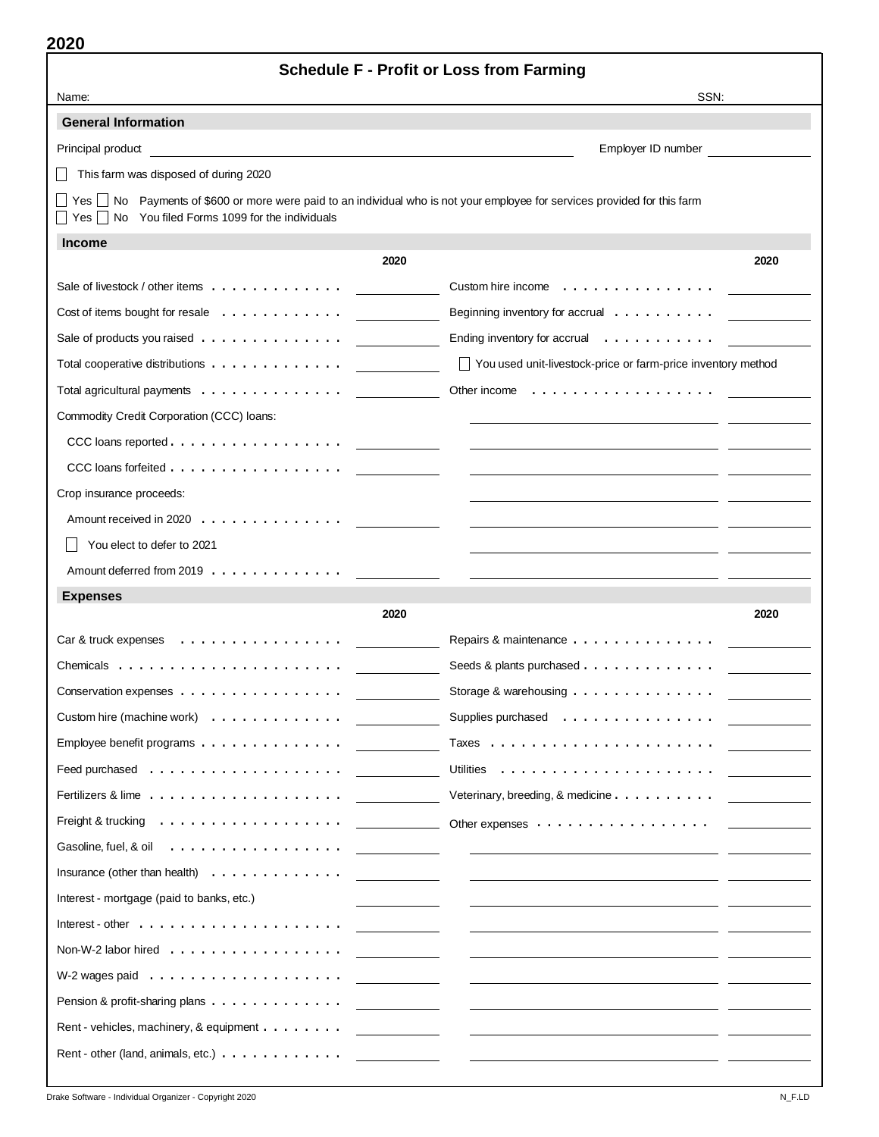| ZUZU                                                                                                                                                                          | <b>Schedule F - Profit or Loss from Farming</b>                                                                                                                                                                                      |
|-------------------------------------------------------------------------------------------------------------------------------------------------------------------------------|--------------------------------------------------------------------------------------------------------------------------------------------------------------------------------------------------------------------------------------|
| Name:                                                                                                                                                                         | SSN:                                                                                                                                                                                                                                 |
| <b>General Information</b>                                                                                                                                                    |                                                                                                                                                                                                                                      |
| Principal product                                                                                                                                                             | Employer ID number                                                                                                                                                                                                                   |
| This farm was disposed of during 2020                                                                                                                                         |                                                                                                                                                                                                                                      |
| Yes □ No Payments of \$600 or more were paid to an individual who is not your employee for services provided for this farm<br>Yes No You filed Forms 1099 for the individuals |                                                                                                                                                                                                                                      |
| <b>Income</b>                                                                                                                                                                 |                                                                                                                                                                                                                                      |
| 2020                                                                                                                                                                          | 2020                                                                                                                                                                                                                                 |
| Sale of livestock / other items                                                                                                                                               | Custom hire income $\dots \dots \dots \dots \dots$                                                                                                                                                                                   |
| Cost of items bought for resale $\ldots \ldots \ldots \ldots$                                                                                                                 | Beginning inventory for accrual $\ldots \ldots \ldots$                                                                                                                                                                               |
| Sale of products you raised                                                                                                                                                   | Ending inventory for accrual $\ldots \ldots \ldots$                                                                                                                                                                                  |
| Total cooperative distributions                                                                                                                                               | □ You used unit-livestock-price or farm-price inventory method                                                                                                                                                                       |
| Total agricultural payments $\ldots \ldots \ldots \ldots$                                                                                                                     | Other income                                                                                                                                                                                                                         |
| Commodity Credit Corporation (CCC) loans:                                                                                                                                     |                                                                                                                                                                                                                                      |
|                                                                                                                                                                               |                                                                                                                                                                                                                                      |
| CCC loans forfeited                                                                                                                                                           |                                                                                                                                                                                                                                      |
| Crop insurance proceeds:                                                                                                                                                      |                                                                                                                                                                                                                                      |
| Amount received in 2020                                                                                                                                                       |                                                                                                                                                                                                                                      |
| You elect to defer to 2021                                                                                                                                                    |                                                                                                                                                                                                                                      |
| Amount deferred from 2019                                                                                                                                                     |                                                                                                                                                                                                                                      |
| <b>Expenses</b>                                                                                                                                                               |                                                                                                                                                                                                                                      |
| 2020                                                                                                                                                                          | 2020                                                                                                                                                                                                                                 |
| Car & truck expenses  ..................                                                                                                                                      | Repairs & maintenance                                                                                                                                                                                                                |
|                                                                                                                                                                               | Seeds & plants purchased                                                                                                                                                                                                             |
| Conservation expenses                                                                                                                                                         | Storage & warehousing                                                                                                                                                                                                                |
| Custom hire (machine work)                                                                                                                                                    | Supplies purchased                                                                                                                                                                                                                   |
| Employee benefit programs                                                                                                                                                     |                                                                                                                                                                                                                                      |
|                                                                                                                                                                               |                                                                                                                                                                                                                                      |
|                                                                                                                                                                               | Veterinary, breeding, & medicine                                                                                                                                                                                                     |
|                                                                                                                                                                               |                                                                                                                                                                                                                                      |
| Gasoline, fuel, & oil                                                                                                                                                         | <u>and the state of the state of the state of the state of the state of the state of the state of the state of the state of the state of the state of the state of the state of the state of the state of the state of the state</u> |
| Insurance (other than health) $\ldots \ldots \ldots \ldots$                                                                                                                   | <u> 1980 - Jan Barbara III, president p</u>                                                                                                                                                                                          |
| Interest - mortgage (paid to banks, etc.)                                                                                                                                     |                                                                                                                                                                                                                                      |
|                                                                                                                                                                               | and the company of the company                                                                                                                                                                                                       |
| Non-W-2 labor hired $\ldots \ldots \ldots \ldots \ldots$                                                                                                                      | <u> 1999 - Alban III, politik politik (</u>                                                                                                                                                                                          |
|                                                                                                                                                                               | and the company of the company                                                                                                                                                                                                       |
| Pension & profit-sharing plans                                                                                                                                                | <u> 1999 - Alban III, politik politik politik (</u>                                                                                                                                                                                  |
| Rent - vehicles, machinery, & equipment                                                                                                                                       |                                                                                                                                                                                                                                      |
|                                                                                                                                                                               |                                                                                                                                                                                                                                      |
|                                                                                                                                                                               |                                                                                                                                                                                                                                      |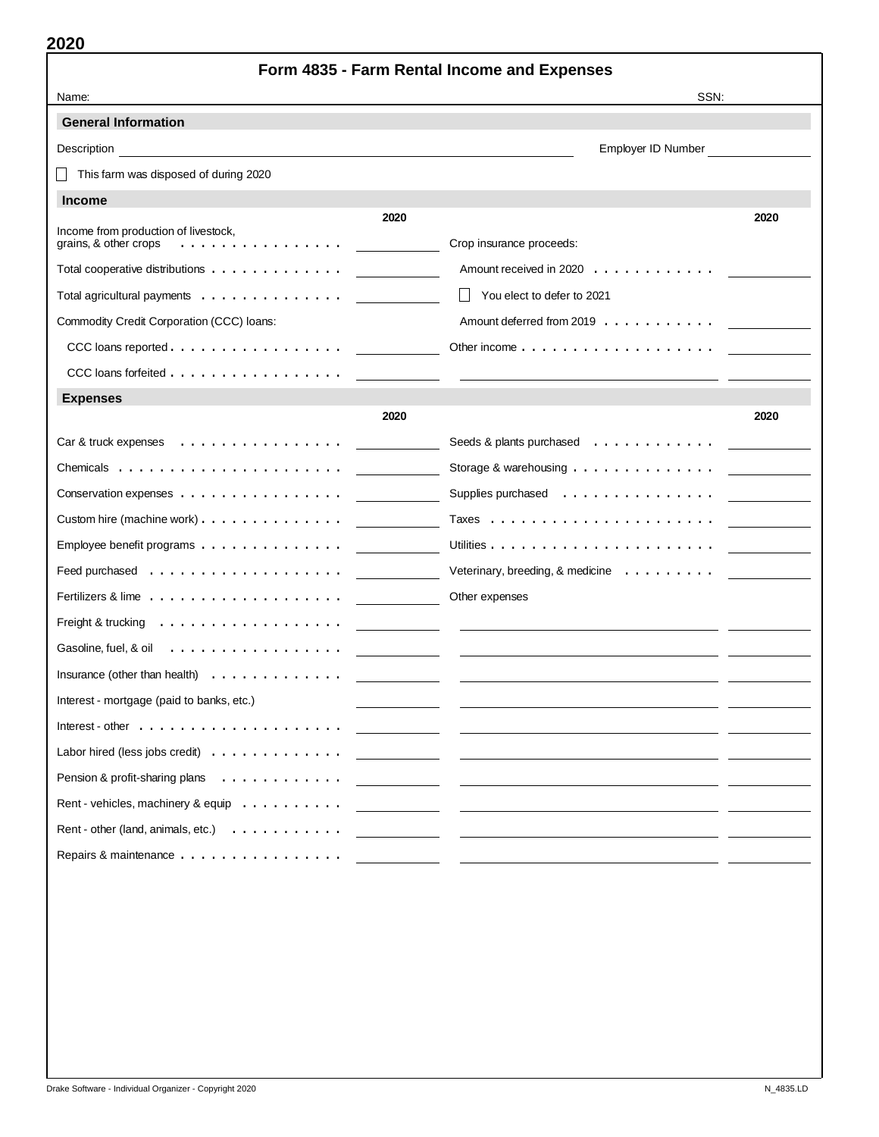|                                                                | Form 4835 - Farm Rental Income and Expenses                                             |      |
|----------------------------------------------------------------|-----------------------------------------------------------------------------------------|------|
| Name:                                                          | SSN:                                                                                    |      |
| <b>General Information</b>                                     |                                                                                         |      |
| Description                                                    | Employer ID Number                                                                      |      |
| This farm was disposed of during 2020                          |                                                                                         |      |
| <b>Income</b>                                                  |                                                                                         |      |
| 2020<br>Income from production of livestock,                   |                                                                                         | 2020 |
| grains, & other crops<br>.                                     | Crop insurance proceeds:                                                                |      |
| Total cooperative distributions                                | Amount received in 2020                                                                 |      |
| Total agricultural payments $\ldots \ldots \ldots \ldots$      | You elect to defer to 2021<br>$\mathsf{L}$                                              |      |
| Commodity Credit Corporation (CCC) loans:                      | Amount deferred from 2019                                                               |      |
|                                                                | Other income $\ldots$ , $\ldots$ , $\ldots$ , $\ldots$ , $\ldots$ , $\ldots$ , $\ldots$ |      |
| CCC loans forfeited                                            |                                                                                         |      |
| <b>Expenses</b>                                                |                                                                                         |      |
| 2020                                                           |                                                                                         | 2020 |
| $Car 8$ truck expenses $\ldots \ldots \ldots \ldots \ldots$    | Seeds & plants purchased $\ldots \ldots \ldots \ldots$                                  |      |
|                                                                | Storage & warehousing $\ldots \ldots \ldots \ldots$                                     |      |
| Conservation expenses                                          | Supplies purchased                                                                      |      |
| Custom hire (machine work) $\ldots$ ,                          |                                                                                         |      |
| Employee benefit programs $\ldots \ldots \ldots \ldots \ldots$ |                                                                                         |      |
| Feed purchased $\ldots \ldots \ldots \ldots \ldots$            | Veterinary, breeding, & medicine $\ldots \ldots \ldots$                                 |      |
|                                                                | Other expenses                                                                          |      |
| Freight & trucking                                             |                                                                                         |      |
| Gasoline, fuel, $\&$ oil $\quad \ldots \ldots \ldots \ldots$   |                                                                                         |      |
| Insurance (other than health) $\ldots \ldots \ldots \ldots$    |                                                                                         |      |
| Interest - mortgage (paid to banks, etc.)                      |                                                                                         |      |
|                                                                |                                                                                         |      |
| Labor hired (less jobs credit) $\ldots \ldots \ldots \ldots$   |                                                                                         |      |
| Pension & profit-sharing plans                                 |                                                                                         |      |
| Rent - vehicles, machinery & equip                             |                                                                                         |      |
| Rent - other (land, animals, etc.) $\ldots \ldots \ldots$      |                                                                                         |      |
|                                                                |                                                                                         |      |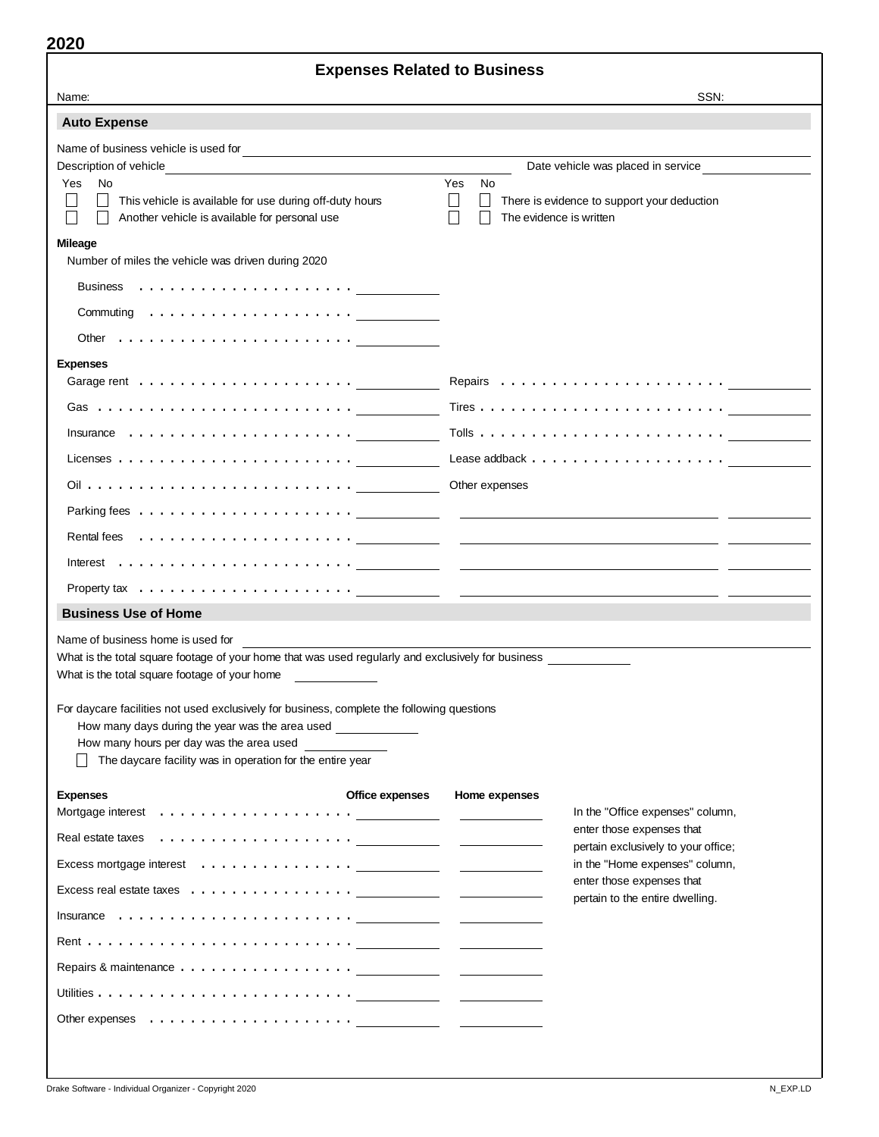| <b>Expenses Related to Business</b>                                                                                                                                                                                                                                                                                                                                                                                                                                                |                                                                                                                                      |  |  |  |  |  |  |  |
|------------------------------------------------------------------------------------------------------------------------------------------------------------------------------------------------------------------------------------------------------------------------------------------------------------------------------------------------------------------------------------------------------------------------------------------------------------------------------------|--------------------------------------------------------------------------------------------------------------------------------------|--|--|--|--|--|--|--|
| Name:                                                                                                                                                                                                                                                                                                                                                                                                                                                                              | SSN:                                                                                                                                 |  |  |  |  |  |  |  |
| <b>Auto Expense</b>                                                                                                                                                                                                                                                                                                                                                                                                                                                                |                                                                                                                                      |  |  |  |  |  |  |  |
| Description of vehicle<br>No<br><b>Yes</b><br>$\mathsf{L}$<br>This vehicle is available for use during off-duty hours<br>Another vehicle is available for personal use                                                                                                                                                                                                                                                                                                             | Date vehicle was placed in service<br>Yes<br>No.<br>There is evidence to support your deduction<br>The evidence is written           |  |  |  |  |  |  |  |
| <b>Mileage</b>                                                                                                                                                                                                                                                                                                                                                                                                                                                                     |                                                                                                                                      |  |  |  |  |  |  |  |
| Number of miles the vehicle was driven during 2020                                                                                                                                                                                                                                                                                                                                                                                                                                 |                                                                                                                                      |  |  |  |  |  |  |  |
|                                                                                                                                                                                                                                                                                                                                                                                                                                                                                    |                                                                                                                                      |  |  |  |  |  |  |  |
| Commuting $\ldots \ldots \ldots \ldots \ldots \ldots$                                                                                                                                                                                                                                                                                                                                                                                                                              |                                                                                                                                      |  |  |  |  |  |  |  |
|                                                                                                                                                                                                                                                                                                                                                                                                                                                                                    |                                                                                                                                      |  |  |  |  |  |  |  |
| <b>Expenses</b>                                                                                                                                                                                                                                                                                                                                                                                                                                                                    |                                                                                                                                      |  |  |  |  |  |  |  |
| Insurance $\dots\dots\dots\dots\dots\dots\dots\dots\dots$                                                                                                                                                                                                                                                                                                                                                                                                                          |                                                                                                                                      |  |  |  |  |  |  |  |
| Licenses $\ldots \ldots \ldots \ldots \ldots \ldots \ldots \ldots$                                                                                                                                                                                                                                                                                                                                                                                                                 |                                                                                                                                      |  |  |  |  |  |  |  |
|                                                                                                                                                                                                                                                                                                                                                                                                                                                                                    | Other expenses                                                                                                                       |  |  |  |  |  |  |  |
|                                                                                                                                                                                                                                                                                                                                                                                                                                                                                    |                                                                                                                                      |  |  |  |  |  |  |  |
| <u> 1999 - Jan Jawa</u>                                                                                                                                                                                                                                                                                                                                                                                                                                                            | <u> 1989 - Andrea Stadt Britain, amerikansk politik (</u>                                                                            |  |  |  |  |  |  |  |
|                                                                                                                                                                                                                                                                                                                                                                                                                                                                                    | <u> 1989 - Andrea Station Barbara, amerikan personal di sebagai personal di sebagai personal di sebagai personal </u>                |  |  |  |  |  |  |  |
|                                                                                                                                                                                                                                                                                                                                                                                                                                                                                    |                                                                                                                                      |  |  |  |  |  |  |  |
| <b>Business Use of Home</b>                                                                                                                                                                                                                                                                                                                                                                                                                                                        |                                                                                                                                      |  |  |  |  |  |  |  |
| Name of business home is used for<br>What is the total square footage of your home that was used regularly and exclusively for business<br>What is the total square footage of your home<br>For daycare facilities not used exclusively for business, complete the following questions<br>How many days during the year was the area used _______________<br>How many hours per day was the area used _______________<br>The daycare facility was in operation for the entire year |                                                                                                                                      |  |  |  |  |  |  |  |
| Office expenses<br><b>Expenses</b>                                                                                                                                                                                                                                                                                                                                                                                                                                                 | Home expenses<br>In the "Office expenses" column,                                                                                    |  |  |  |  |  |  |  |
|                                                                                                                                                                                                                                                                                                                                                                                                                                                                                    | $\frac{1}{2}$ and $\frac{1}{2}$ and $\frac{1}{2}$ and $\frac{1}{2}$ and $\frac{1}{2}$ and $\frac{1}{2}$<br>enter those expenses that |  |  |  |  |  |  |  |
| Excess mortgage interest (also contained a series of the contact of the contact of the contact of the contact of the contact of the contact of the contact of the contact of the contact of the contact of the contact of the                                                                                                                                                                                                                                                      | pertain exclusively to your office;<br>in the "Home expenses" column,                                                                |  |  |  |  |  |  |  |
|                                                                                                                                                                                                                                                                                                                                                                                                                                                                                    | enter those expenses that                                                                                                            |  |  |  |  |  |  |  |
|                                                                                                                                                                                                                                                                                                                                                                                                                                                                                    | pertain to the entire dwelling.                                                                                                      |  |  |  |  |  |  |  |
|                                                                                                                                                                                                                                                                                                                                                                                                                                                                                    |                                                                                                                                      |  |  |  |  |  |  |  |
|                                                                                                                                                                                                                                                                                                                                                                                                                                                                                    |                                                                                                                                      |  |  |  |  |  |  |  |
|                                                                                                                                                                                                                                                                                                                                                                                                                                                                                    |                                                                                                                                      |  |  |  |  |  |  |  |
|                                                                                                                                                                                                                                                                                                                                                                                                                                                                                    |                                                                                                                                      |  |  |  |  |  |  |  |
|                                                                                                                                                                                                                                                                                                                                                                                                                                                                                    |                                                                                                                                      |  |  |  |  |  |  |  |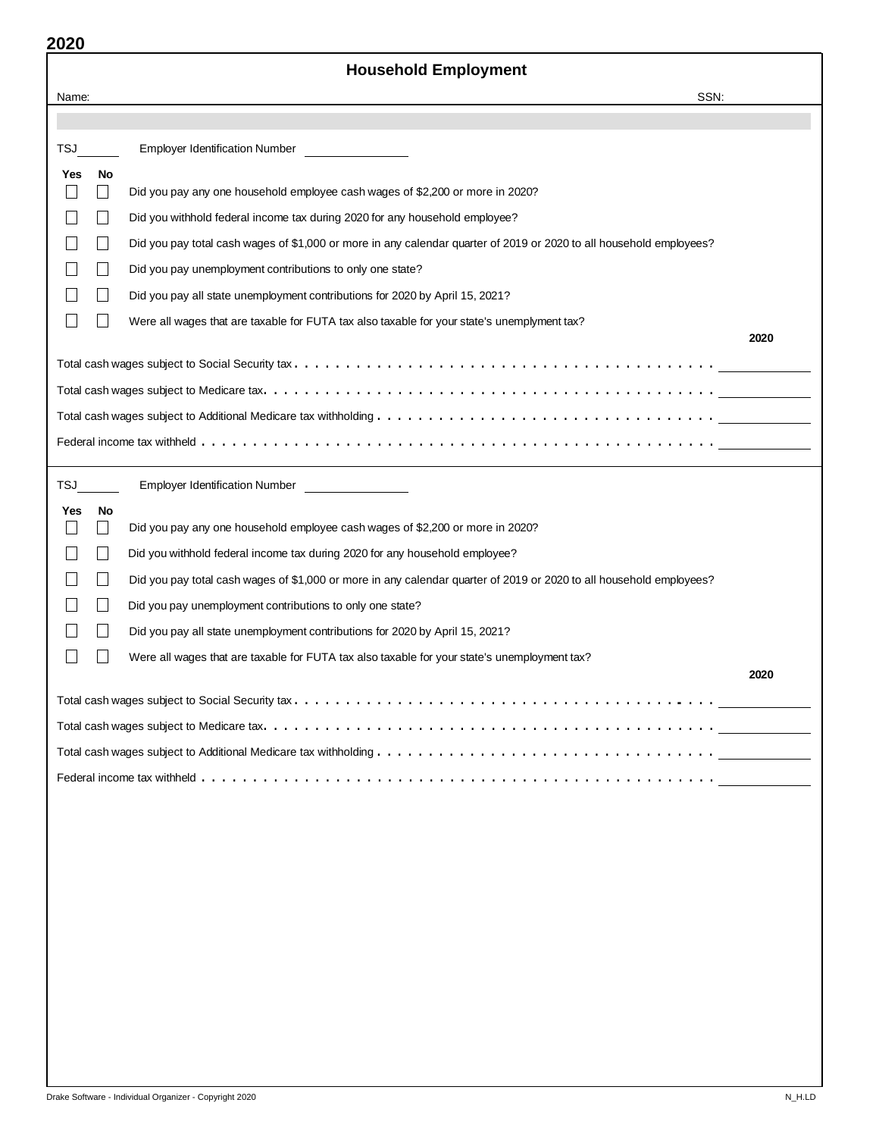|                             |                          | <b>Household Employment</b>                                                                                         |      |
|-----------------------------|--------------------------|---------------------------------------------------------------------------------------------------------------------|------|
| Name:                       |                          | SSN:                                                                                                                |      |
|                             |                          |                                                                                                                     |      |
| <b>TSJ</b>                  |                          | <b>Employer Identification Number</b>                                                                               |      |
| Yes                         | No                       |                                                                                                                     |      |
|                             | $\Box$                   | Did you pay any one household employee cash wages of \$2,200 or more in 2020?                                       |      |
|                             | $\vert \ \ \vert$        | Did you withhold federal income tax during 2020 for any household employee?                                         |      |
|                             | $\Box$                   | Did you pay total cash wages of \$1,000 or more in any calendar quarter of 2019 or 2020 to all household employees? |      |
|                             |                          | Did you pay unemployment contributions to only one state?                                                           |      |
|                             |                          | Did you pay all state unemployment contributions for 2020 by April 15, 2021?                                        |      |
| $\mathcal{L}_{\mathcal{A}}$ |                          | Were all wages that are taxable for FUTA tax also taxable for your state's unemplyment tax?                         |      |
|                             |                          |                                                                                                                     | 2020 |
|                             |                          |                                                                                                                     |      |
|                             |                          |                                                                                                                     |      |
|                             |                          |                                                                                                                     |      |
|                             |                          |                                                                                                                     |      |
| <b>TSJ</b>                  |                          | <b>Employer Identification Number</b>                                                                               |      |
| Yes                         | No<br>$\Box$             | Did you pay any one household employee cash wages of \$2,200 or more in 2020?                                       |      |
|                             | $\Box$                   | Did you withhold federal income tax during 2020 for any household employee?                                         |      |
|                             | $\Box$                   | Did you pay total cash wages of \$1,000 or more in any calendar quarter of 2019 or 2020 to all household employees? |      |
|                             | $\overline{\phantom{0}}$ | Did you pay unemployment contributions to only one state?                                                           |      |
|                             |                          | Did you pay all state unemployment contributions for 2020 by April 15, 2021?                                        |      |
|                             |                          | Were all wages that are taxable for FUTA tax also taxable for your state's unemployment tax?                        |      |
|                             |                          |                                                                                                                     | 2020 |
|                             |                          |                                                                                                                     |      |
|                             |                          |                                                                                                                     |      |
|                             |                          |                                                                                                                     |      |
|                             |                          |                                                                                                                     |      |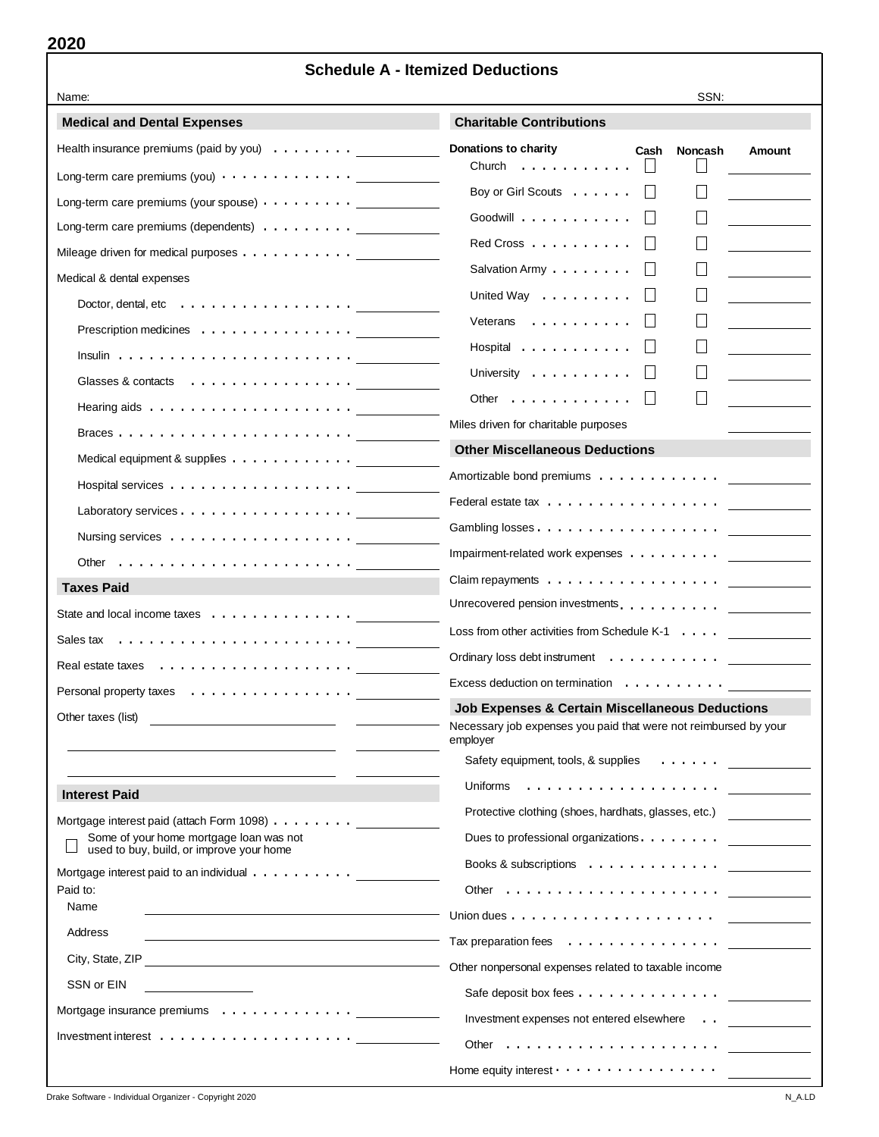|                                                                                     | <b>Schedule A - Itemized Deductions</b>                                                                                                    |  |  |  |  |
|-------------------------------------------------------------------------------------|--------------------------------------------------------------------------------------------------------------------------------------------|--|--|--|--|
| Name:                                                                               | SSN:                                                                                                                                       |  |  |  |  |
| <b>Medical and Dental Expenses</b>                                                  | <b>Charitable Contributions</b>                                                                                                            |  |  |  |  |
| Health insurance premiums (paid by you) $\dots \dots$                               | Donations to charity<br>Cash<br><b>Noncash</b><br>Amount                                                                                   |  |  |  |  |
| Long-term care premiums (you) $\cdots$ $\cdots$ $\cdots$ $\cdots$ $\cdots$          | Church<br>.                                                                                                                                |  |  |  |  |
| Long-term care premiums (your spouse) $\cdots$ $\cdots$ $\cdots$                    | Boy or Girl Scouts                                                                                                                         |  |  |  |  |
| Long-term care premiums (dependents) $\ldots \ldots \ldots$                         | Goodwill $\cdots$ , $\cdots$ , $\cdots$                                                                                                    |  |  |  |  |
| Mileage driven for medical purposes                                                 | Red Cross                                                                                                                                  |  |  |  |  |
| Medical & dental expenses                                                           | Salvation Army                                                                                                                             |  |  |  |  |
| Doctor, dental, etc $\ldots \ldots \ldots \ldots \ldots \ldots \ldots$              | United Way                                                                                                                                 |  |  |  |  |
| Prescription medicines                                                              | Veterans                                                                                                                                   |  |  |  |  |
|                                                                                     | Hospital                                                                                                                                   |  |  |  |  |
| Glasses & contacts                                                                  | University                                                                                                                                 |  |  |  |  |
| Hearing aids $\ldots \ldots \ldots \ldots \ldots \ldots$                            | Other $\dots$ , $\dots$ , $\dots$                                                                                                          |  |  |  |  |
|                                                                                     | Miles driven for charitable purposes                                                                                                       |  |  |  |  |
| Medical equipment & supplies                                                        | <b>Other Miscellaneous Deductions</b>                                                                                                      |  |  |  |  |
|                                                                                     | Amortizable bond premiums                                                                                                                  |  |  |  |  |
| Laboratory services                                                                 |                                                                                                                                            |  |  |  |  |
| Nursing services $\dots \dots \dots \dots \dots \dots$                              |                                                                                                                                            |  |  |  |  |
| Other $\ldots \ldots \ldots \ldots \ldots \ldots \ldots$                            | Impairment-related work expenses                                                                                                           |  |  |  |  |
| <b>Taxes Paid</b>                                                                   | Claim repayments $\dots \dots \dots \dots \dots \dots$                                                                                     |  |  |  |  |
| State and local income taxes                                                        | Unrecovered pension investments.                                                                                                           |  |  |  |  |
| Sales tax                                                                           | Loss from other activities from Schedule K-1                                                                                               |  |  |  |  |
|                                                                                     | Ordinary loss debt instrument                                                                                                              |  |  |  |  |
| Personal property taxes<br>.                                                        | Excess deduction on termination $\cdots$                                                                                                   |  |  |  |  |
| Other taxes (list)                                                                  | <b>Job Expenses &amp; Certain Miscellaneous Deductions</b><br>Necessary job expenses you paid that were not reimbursed by your<br>employer |  |  |  |  |
|                                                                                     | Safety equipment, tools, & supplies<br>.                                                                                                   |  |  |  |  |
| <b>Interest Paid</b>                                                                | Uniforms                                                                                                                                   |  |  |  |  |
| Mortgage interest paid (attach Form 1098)                                           | Protective clothing (shoes, hardhats, glasses, etc.)                                                                                       |  |  |  |  |
| Some of your home mortgage loan was not<br>used to buy, build, or improve your home | Dues to professional organizations. $\ldots$                                                                                               |  |  |  |  |
| Mortgage interest paid to an individual                                             | Books & subscriptions                                                                                                                      |  |  |  |  |
| Paid to:                                                                            | Other $\dots \dots \dots \dots \dots \dots \dots$                                                                                          |  |  |  |  |
| Name                                                                                |                                                                                                                                            |  |  |  |  |
| Address                                                                             | Tax preparation fees $\ldots \ldots \ldots \ldots \ldots$                                                                                  |  |  |  |  |
| City, State, ZIP                                                                    | Other nonpersonal expenses related to taxable income                                                                                       |  |  |  |  |
| SSN or EIN                                                                          | Safe deposit box fees                                                                                                                      |  |  |  |  |
| Mortgage insurance premiums                                                         | Investment expenses not entered elsewhere                                                                                                  |  |  |  |  |
| Investment interest $\ldots \ldots \ldots \ldots \ldots \ldots$                     | Other $\ldots \ldots \ldots \ldots \ldots \ldots$                                                                                          |  |  |  |  |

Home equity interest  $\cdots$ .............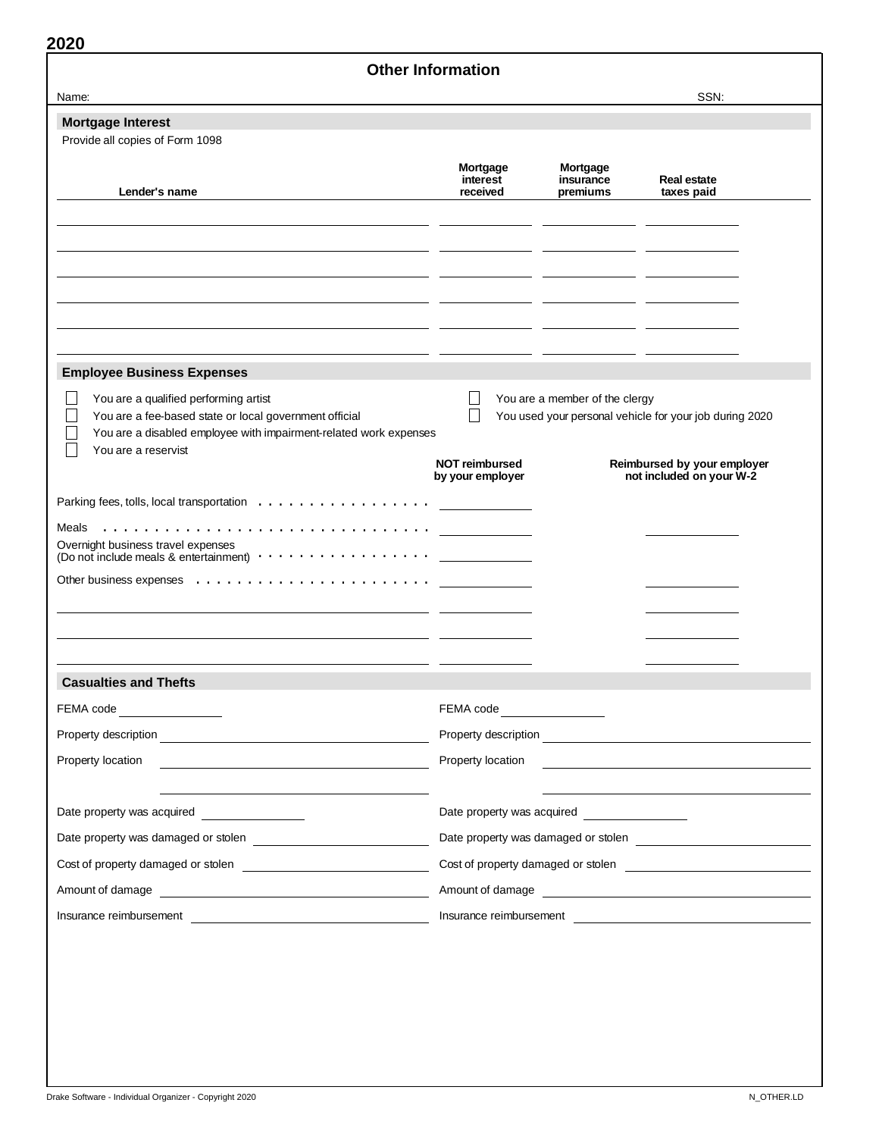| <b>Other Information</b>                                                                                                                                                                    |                                                                                                                    |                         |                                                         |  |
|---------------------------------------------------------------------------------------------------------------------------------------------------------------------------------------------|--------------------------------------------------------------------------------------------------------------------|-------------------------|---------------------------------------------------------|--|
| Name:                                                                                                                                                                                       |                                                                                                                    |                         | SSN:                                                    |  |
| <b>Mortgage Interest</b><br>Provide all copies of Form 1098                                                                                                                                 |                                                                                                                    |                         |                                                         |  |
|                                                                                                                                                                                             | Mortgage<br>interest                                                                                               | Mortgage<br>insurance   | <b>Real estate</b>                                      |  |
| Lender's name                                                                                                                                                                               | received                                                                                                           | premiums                | taxes paid                                              |  |
|                                                                                                                                                                                             |                                                                                                                    |                         |                                                         |  |
| <b>Employee Business Expenses</b>                                                                                                                                                           |                                                                                                                    |                         |                                                         |  |
| You are a qualified performing artist<br>You are a fee-based state or local government official<br>You are a disabled employee with impairment-related work expenses<br>You are a reservist | You are a member of the clergy<br>You used your personal vehicle for your job during 2020<br><b>NOT reimbursed</b> |                         |                                                         |  |
|                                                                                                                                                                                             | by your employer                                                                                                   |                         | Reimbursed by your employer<br>not included on your W-2 |  |
|                                                                                                                                                                                             |                                                                                                                    |                         |                                                         |  |
| Overnight business travel expenses<br>(Do not include meals & entertainment) $\cdots \cdots \cdots \cdots \cdots$                                                                           |                                                                                                                    |                         |                                                         |  |
| <b>Casualties and Thefts</b>                                                                                                                                                                |                                                                                                                    |                         |                                                         |  |
| FEMA code <u>_____________</u>                                                                                                                                                              | FEMA code ________________                                                                                         |                         |                                                         |  |
|                                                                                                                                                                                             |                                                                                                                    |                         |                                                         |  |
| Property location                                                                                                                                                                           | Property location                                                                                                  |                         | <u> 1980 - Jan Samuel Barbara, martin a</u>             |  |
|                                                                                                                                                                                             |                                                                                                                    |                         |                                                         |  |
|                                                                                                                                                                                             |                                                                                                                    |                         |                                                         |  |
| Cost of property damaged or stolen                                                                                                                                                          |                                                                                                                    |                         |                                                         |  |
|                                                                                                                                                                                             | Amount of damage                                                                                                   |                         |                                                         |  |
| Amount of damage <b>contained</b> and a model of damage                                                                                                                                     |                                                                                                                    | Insurance reimbursement |                                                         |  |